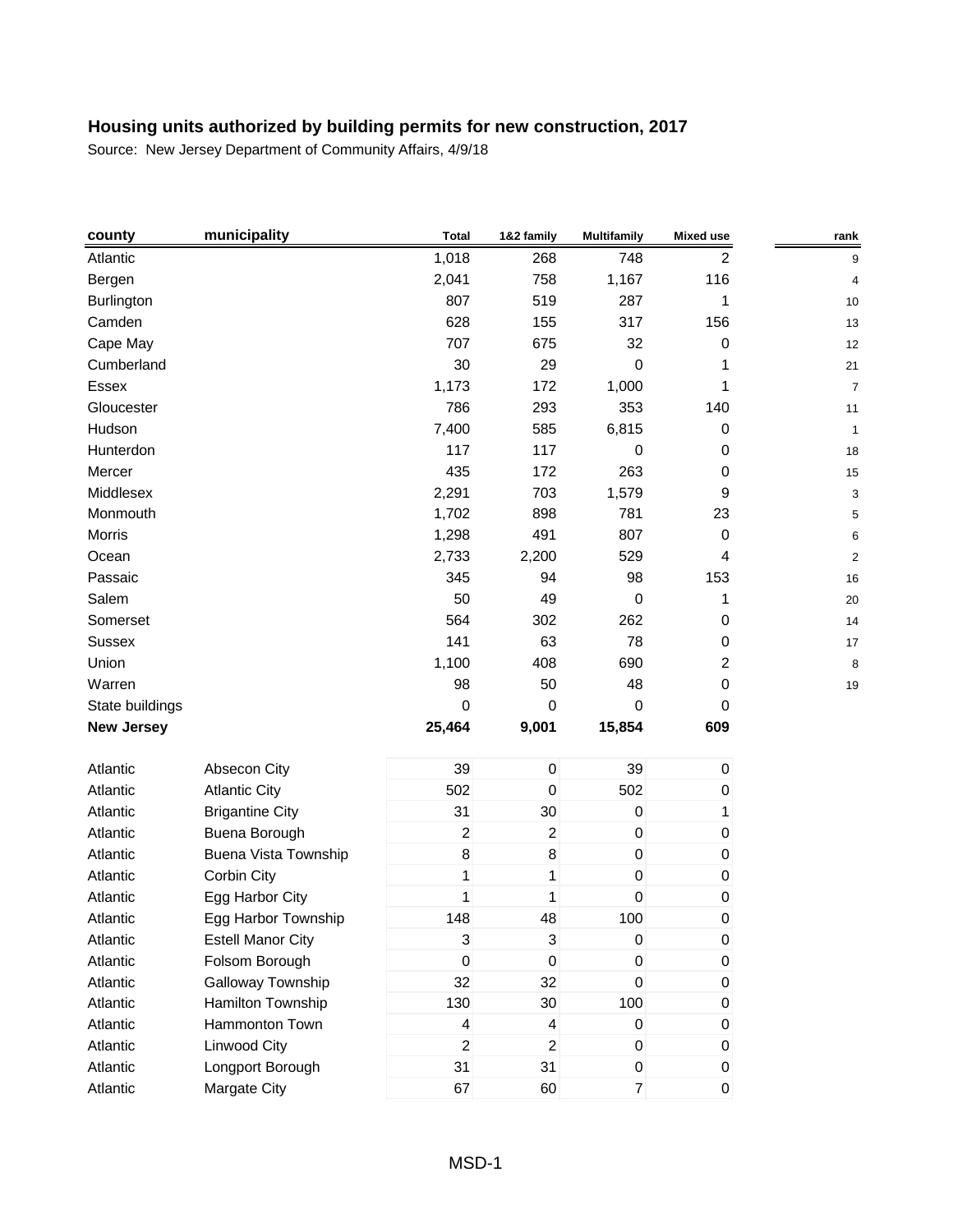| county            | municipality                | <b>Total</b>   | 1&2 family       | <b>Multifamily</b> | <b>Mixed use</b> | rank           |
|-------------------|-----------------------------|----------------|------------------|--------------------|------------------|----------------|
| Atlantic          |                             | 1,018          | 268              | 748                | 2                | 9              |
| Bergen            |                             | 2,041          | 758              | 1,167              | 116              | 4              |
| Burlington        |                             | 807            | 519              | 287                | 1                | 10             |
| Camden            |                             | 628            | 155              | 317                | 156              | 13             |
| Cape May          |                             | 707            | 675              | 32                 | 0                | 12             |
| Cumberland        |                             | 30             | 29               | 0                  | 1                | 21             |
| Essex             |                             | 1,173          | 172              | 1,000              | 1                | $\overline{7}$ |
| Gloucester        |                             | 786            | 293              | 353                | 140              | 11             |
| Hudson            |                             | 7,400          | 585              | 6,815              | 0                | 1              |
| Hunterdon         |                             | 117            | 117              | 0                  | 0                | 18             |
| Mercer            |                             | 435            | 172              | 263                | 0                | 15             |
| Middlesex         |                             | 2,291          | 703              | 1,579              | 9                | 3              |
| Monmouth          |                             | 1,702          | 898              | 781                | 23               | 5              |
| Morris            |                             | 1,298          | 491              | 807                | 0                | 6              |
| Ocean             |                             | 2,733          | 2,200            | 529                | 4                | $\overline{2}$ |
| Passaic           |                             | 345            | 94               | 98                 | 153              | 16             |
| Salem             |                             | 50             | 49               | 0                  | 1                | 20             |
| Somerset          |                             | 564            | 302              | 262                | 0                | 14             |
| <b>Sussex</b>     |                             | 141            | 63               | 78                 | $\pmb{0}$        | 17             |
| Union             |                             | 1,100          | 408              | 690                | 2                | 8              |
| Warren            |                             | 98             | 50               | 48                 | 0                | 19             |
| State buildings   |                             | 0              | 0                | 0                  | 0                |                |
| <b>New Jersey</b> |                             | 25,464         | 9,001            | 15,854             | 609              |                |
| Atlantic          | Absecon City                | 39             | $\mathbf 0$      | 39                 | $\pmb{0}$        |                |
| Atlantic          | <b>Atlantic City</b>        | 502            | $\boldsymbol{0}$ | 502                | 0                |                |
| Atlantic          | <b>Brigantine City</b>      | 31             | 30               | $\pmb{0}$          | 1                |                |
| Atlantic          | Buena Borough               | $\overline{c}$ | 2                | $\pmb{0}$          | 0                |                |
| Atlantic          | <b>Buena Vista Township</b> | 8              | 8                | $\pmb{0}$          | $\pmb{0}$        |                |
| Atlantic          | Corbin City                 | 1              | 1                | $\pmb{0}$          | $\pmb{0}$        |                |
| Atlantic          | Egg Harbor City             | $\mathbf{1}$   | 1                | $\mathbf 0$        | 0                |                |
| Atlantic          | Egg Harbor Township         | 148            | 48               | 100                | 0                |                |
| Atlantic          | <b>Estell Manor City</b>    | 3              | 3                | $\pmb{0}$          | $\pmb{0}$        |                |
| Atlantic          | Folsom Borough              | 0              | $\mathbf 0$      | $\pmb{0}$          | 0                |                |
| Atlantic          | Galloway Township           | 32             | 32               | $\pmb{0}$          | 0                |                |
| Atlantic          | Hamilton Township           | 130            | 30               | 100                | 0                |                |
| Atlantic          | Hammonton Town              | 4              | 4                | $\overline{0}$     | 0                |                |
| Atlantic          | Linwood City                | $\overline{2}$ | $\overline{a}$   | $\pmb{0}$          | 0                |                |
| Atlantic          | Longport Borough            | 31             | 31               | 0                  | 0                |                |
| Atlantic          | Margate City                | 67             | 60               | $\overline{7}$     | $\boldsymbol{0}$ |                |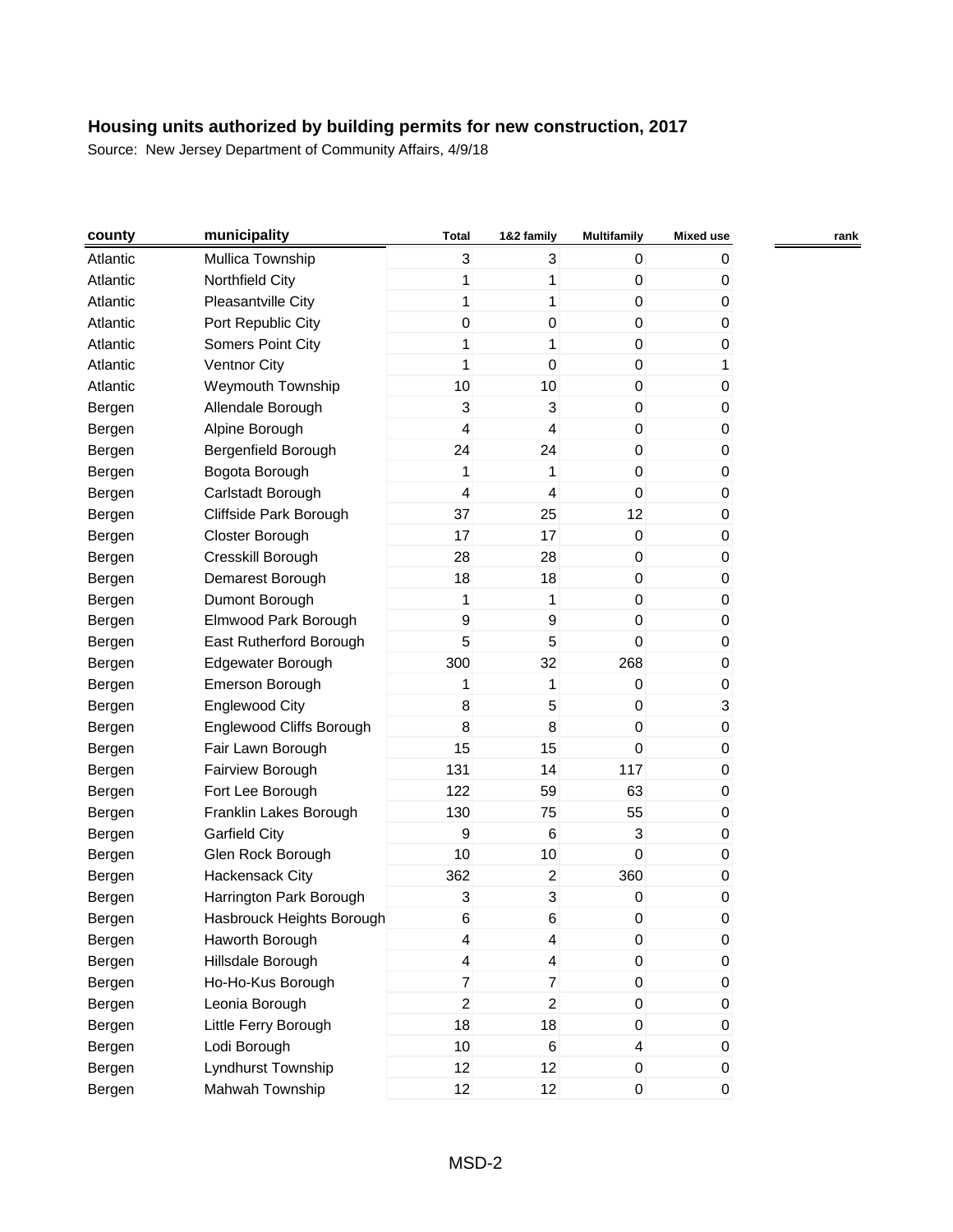| county   | municipality              | <b>Total</b>            | 1&2 family              | <b>Multifamily</b>        | <b>Mixed use</b> | rank |
|----------|---------------------------|-------------------------|-------------------------|---------------------------|------------------|------|
| Atlantic | Mullica Township          | 3                       | 3                       | 0                         | 0                |      |
| Atlantic | Northfield City           | 1                       | 1                       | 0                         | 0                |      |
| Atlantic | Pleasantville City        | 1                       | $\mathbf{1}$            | $\pmb{0}$                 | 0                |      |
| Atlantic | Port Republic City        | 0                       | 0                       | 0                         | 0                |      |
| Atlantic | Somers Point City         | 1                       | 1                       | 0                         | 0                |      |
| Atlantic | <b>Ventnor City</b>       | 1                       | 0                       | $\pmb{0}$                 | 1                |      |
| Atlantic | <b>Weymouth Township</b>  | 10                      | 10                      | $\pmb{0}$                 | 0                |      |
| Bergen   | Allendale Borough         | 3                       | 3                       | $\mathbf 0$               | 0                |      |
| Bergen   | Alpine Borough            | 4                       | $\overline{\mathbf{4}}$ | 0                         | 0                |      |
| Bergen   | Bergenfield Borough       | 24                      | 24                      | $\boldsymbol{0}$          | 0                |      |
| Bergen   | Bogota Borough            | 1                       | 1                       | 0                         | 0                |      |
| Bergen   | Carlstadt Borough         | 4                       | $\overline{\mathbf{4}}$ | $\boldsymbol{0}$          | 0                |      |
| Bergen   | Cliffside Park Borough    | 37                      | 25                      | 12                        | 0                |      |
| Bergen   | Closter Borough           | 17                      | 17                      | 0                         | 0                |      |
| Bergen   | Cresskill Borough         | 28                      | 28                      | 0                         | 0                |      |
| Bergen   | Demarest Borough          | 18                      | 18                      | 0                         | 0                |      |
| Bergen   | Dumont Borough            | 1                       | 1                       | $\boldsymbol{0}$          | 0                |      |
| Bergen   | Elmwood Park Borough      | 9                       | 9                       | 0                         | 0                |      |
| Bergen   | East Rutherford Borough   | 5                       | 5                       | $\mathbf 0$               | 0                |      |
| Bergen   | Edgewater Borough         | 300                     | 32                      | 268                       | 0                |      |
| Bergen   | Emerson Borough           | 1                       | 1                       | 0                         | 0                |      |
| Bergen   | <b>Englewood City</b>     | 8                       | 5                       | 0                         | 3                |      |
| Bergen   | Englewood Cliffs Borough  | 8                       | 8                       | 0                         | 0                |      |
| Bergen   | Fair Lawn Borough         | 15                      | 15                      | $\mathbf 0$               | 0                |      |
| Bergen   | Fairview Borough          | 131                     | 14                      | 117                       | 0                |      |
| Bergen   | Fort Lee Borough          | 122                     | 59                      | 63                        | 0                |      |
| Bergen   | Franklin Lakes Borough    | 130                     | 75                      | 55                        | 0                |      |
| Bergen   | <b>Garfield City</b>      | 9                       | 6                       | $\ensuremath{\mathsf{3}}$ | 0                |      |
| Bergen   | Glen Rock Borough         | 10                      | 10                      | $\boldsymbol{0}$          | 0                |      |
| Bergen   | Hackensack City           | 362                     | $\overline{2}$          | 360                       | 0                |      |
| Bergen   | Harrington Park Borough   | 3                       | 3                       | 0                         | 0                |      |
| Bergen   | Hasbrouck Heights Borough | 6                       | 6                       | 0                         | 0                |      |
| Bergen   | Haworth Borough           | $\overline{4}$          | 4                       | 0                         | 0                |      |
| Bergen   | Hillsdale Borough         | $\overline{\mathbf{4}}$ | $\overline{\mathbf{4}}$ | $\mathbf 0$               | 0                |      |
| Bergen   | Ho-Ho-Kus Borough         | $\overline{7}$          | $\overline{7}$          | $\boldsymbol{0}$          | 0                |      |
| Bergen   | Leonia Borough            | $\overline{c}$          | $\overline{c}$          | 0                         | 0                |      |
| Bergen   | Little Ferry Borough      | 18                      | 18                      | 0                         | 0                |      |
| Bergen   | Lodi Borough              | 10                      | 6                       | $\overline{\mathbf{4}}$   | 0                |      |
| Bergen   | Lyndhurst Township        | 12                      | 12                      | $\boldsymbol{0}$          | 0                |      |
| Bergen   | Mahwah Township           | 12                      | 12                      | $\boldsymbol{0}$          | 0                |      |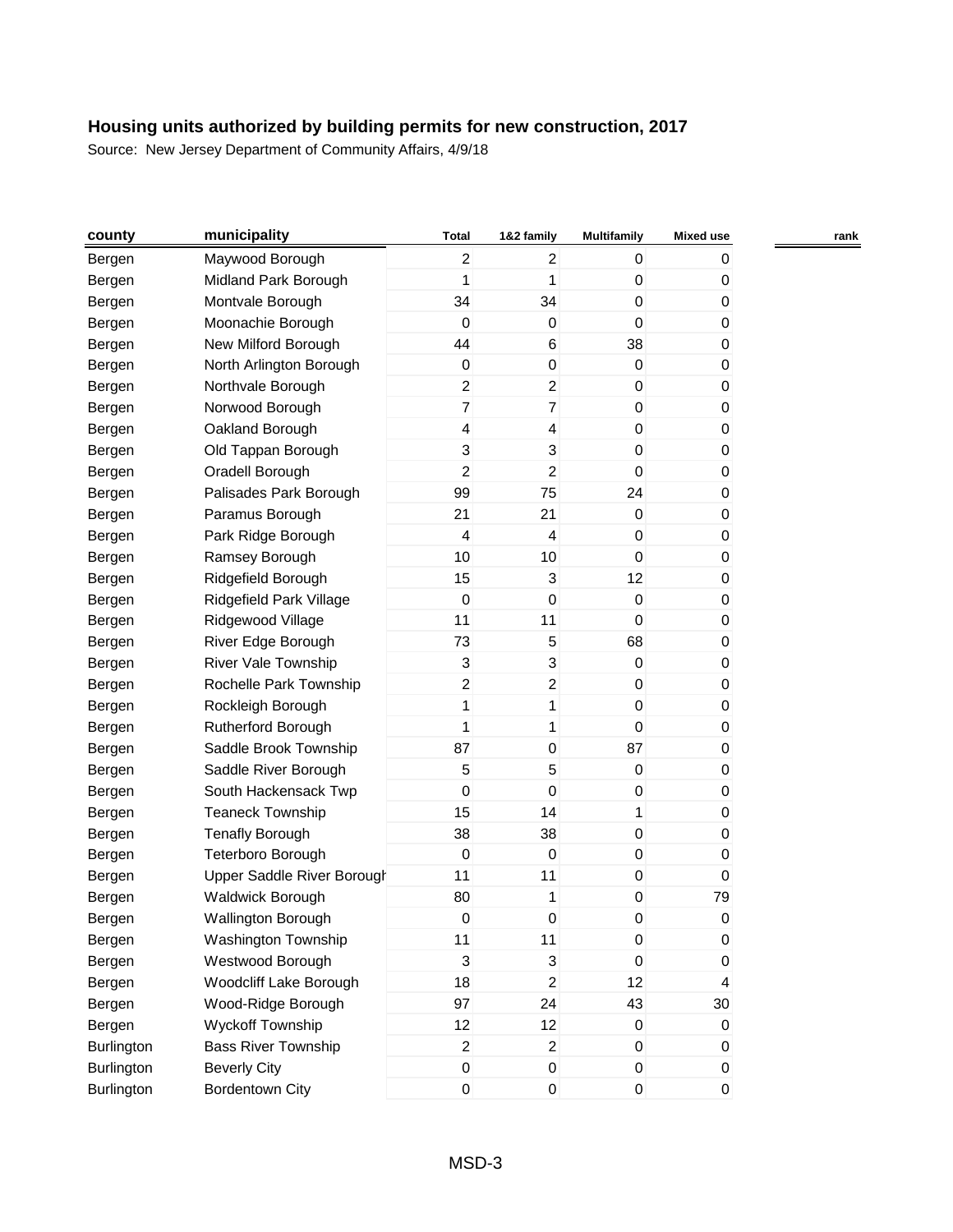| county            | municipality               | <b>Total</b>             | 1&2 family              | <b>Multifamily</b> | Mixed use | rank |
|-------------------|----------------------------|--------------------------|-------------------------|--------------------|-----------|------|
| Bergen            | Maywood Borough            | $\overline{c}$           | $\overline{2}$          | 0                  | 0         |      |
| Bergen            | Midland Park Borough       | 1                        | 1                       | $\boldsymbol{0}$   | 0         |      |
| Bergen            | Montvale Borough           | 34                       | 34                      | $\boldsymbol{0}$   | 0         |      |
| Bergen            | Moonachie Borough          | 0                        | 0                       | 0                  | 0         |      |
| Bergen            | New Milford Borough        | 44                       | 6                       | 38                 | 0         |      |
| Bergen            | North Arlington Borough    | $\boldsymbol{0}$         | 0                       | $\mathbf 0$        | 0         |      |
| Bergen            | Northvale Borough          | $\overline{c}$           | $\overline{a}$          | 0                  | 0         |      |
| Bergen            | Norwood Borough            | $\overline{7}$           | $\overline{7}$          | 0                  | 0         |      |
| Bergen            | Oakland Borough            | $\overline{\mathcal{L}}$ | 4                       | $\mathbf 0$        | 0         |      |
| Bergen            | Old Tappan Borough         | 3                        | 3                       | $\,0\,$            | 0         |      |
| Bergen            | Oradell Borough            | $\overline{c}$           | $\overline{a}$          | 0                  | 0         |      |
| Bergen            | Palisades Park Borough     | 99                       | 75                      | 24                 | 0         |      |
| Bergen            | Paramus Borough            | 21                       | 21                      | $\mathbf 0$        | 0         |      |
| Bergen            | Park Ridge Borough         | 4                        | $\overline{\mathbf{4}}$ | 0                  | 0         |      |
| Bergen            | Ramsey Borough             | 10                       | 10                      | 0                  | 0         |      |
| Bergen            | Ridgefield Borough         | 15                       | 3                       | 12                 | 0         |      |
| Bergen            | Ridgefield Park Village    | 0                        | 0                       | 0                  | 0         |      |
| Bergen            | Ridgewood Village          | 11                       | 11                      | $\mathbf 0$        | 0         |      |
| Bergen            | River Edge Borough         | 73                       | 5                       | 68                 | 0         |      |
| Bergen            | <b>River Vale Township</b> | 3                        | 3                       | $\mathbf 0$        | 0         |      |
| Bergen            | Rochelle Park Township     | $\overline{c}$           | $\overline{c}$          | 0                  | 0         |      |
| Bergen            | Rockleigh Borough          | 1                        | 1                       | 0                  | 0         |      |
| Bergen            | Rutherford Borough         | 1                        | 1                       | $\mathbf 0$        | 0         |      |
| Bergen            | Saddle Brook Township      | 87                       | 0                       | 87                 | 0         |      |
| Bergen            | Saddle River Borough       | 5                        | 5                       | 0                  | 0         |      |
| Bergen            | South Hackensack Twp       | $\boldsymbol{0}$         | 0                       | 0                  | 0         |      |
| Bergen            | <b>Teaneck Township</b>    | 15                       | 14                      | 1                  | 0         |      |
| Bergen            | <b>Tenafly Borough</b>     | 38                       | 38                      | $\,0\,$            | 0         |      |
| Bergen            | Teterboro Borough          | $\mathbf 0$              | 0                       | 0                  | 0         |      |
| Bergen            | Upper Saddle River Borough | 11                       | 11                      | 0                  | 0         |      |
| Bergen            | <b>Waldwick Borough</b>    | 80                       | 1                       | 0                  | 79        |      |
| Bergen            | <b>Wallington Borough</b>  | 0                        | 0                       | 0                  | 0         |      |
| Bergen            | <b>Washington Township</b> | 11                       | 11                      | 0                  | 0         |      |
| Bergen            | Westwood Borough           | 3                        | 3                       | 0                  | 0         |      |
| Bergen            | Woodcliff Lake Borough     | 18                       | $\overline{c}$          | 12                 | 4         |      |
| Bergen            | Wood-Ridge Borough         | 97                       | 24                      | 43                 | 30        |      |
| Bergen            | Wyckoff Township           | 12                       | 12                      | 0                  | 0         |      |
| <b>Burlington</b> | <b>Bass River Township</b> | $\overline{c}$           | $\overline{2}$          | $\mathbf 0$        | 0         |      |
| Burlington        | <b>Beverly City</b>        | $\pmb{0}$                | 0                       | 0                  | 0         |      |
| <b>Burlington</b> | <b>Bordentown City</b>     | $\boldsymbol{0}$         | 0                       | $\pmb{0}$          | 0         |      |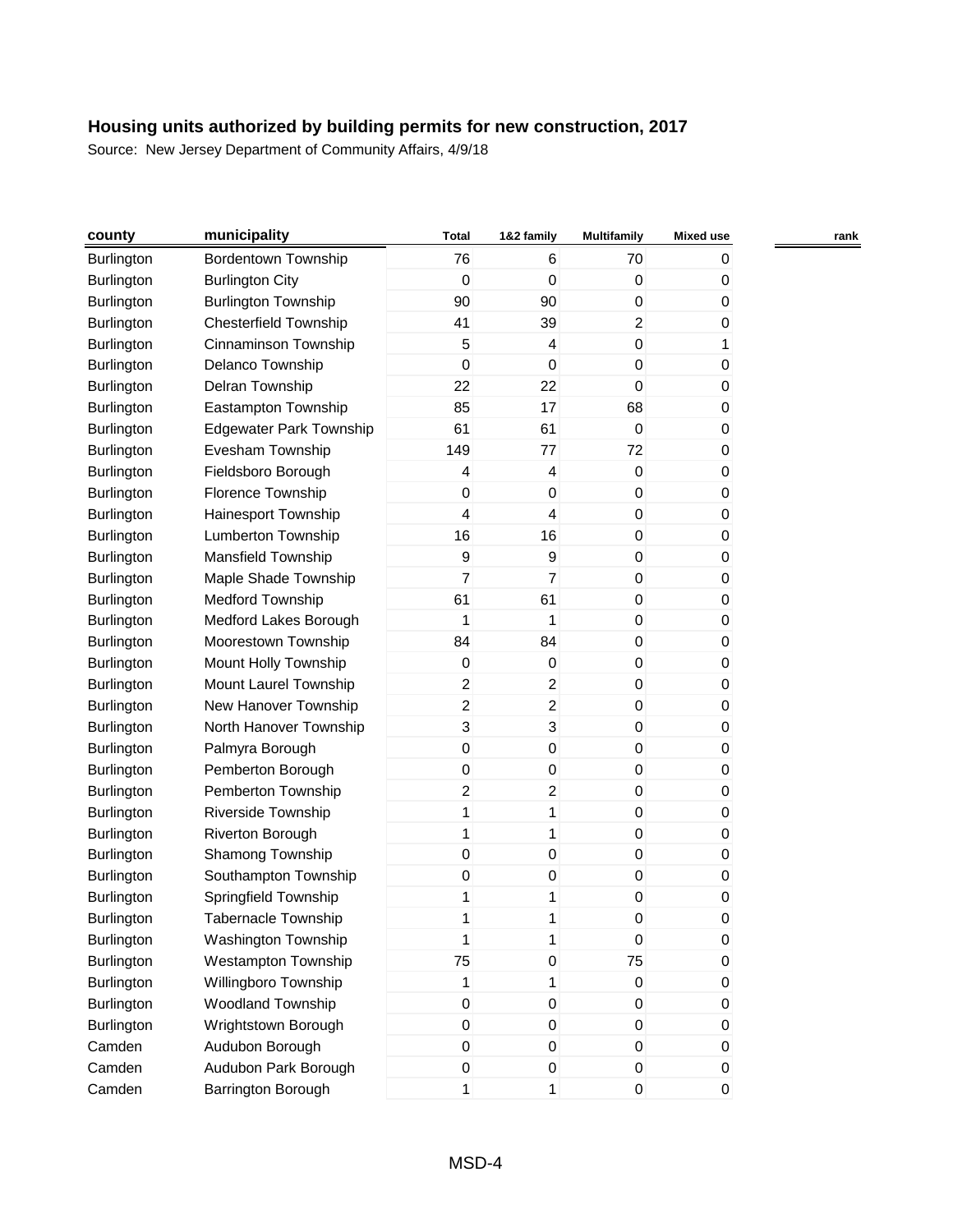| county            | municipality                   | <b>Total</b>     | 1&2 family       | Multifamily      | <b>Mixed use</b> |  |
|-------------------|--------------------------------|------------------|------------------|------------------|------------------|--|
| <b>Burlington</b> | <b>Bordentown Township</b>     | 76               | 6                | 70               | 0                |  |
| <b>Burlington</b> | <b>Burlington City</b>         | 0                | $\mathbf 0$      | $\mathbf 0$      | 0                |  |
| <b>Burlington</b> | <b>Burlington Township</b>     | 90               | 90               | $\pmb{0}$        | 0                |  |
| Burlington        | Chesterfield Township          | 41               | 39               | $\overline{c}$   | 0                |  |
| Burlington        | Cinnaminson Township           | 5                | $\overline{4}$   | 0                | 1                |  |
| <b>Burlington</b> | Delanco Township               | $\mathbf 0$      | $\boldsymbol{0}$ | $\mathbf 0$      | 0                |  |
| Burlington        | Delran Township                | 22               | 22               | 0                | 0                |  |
| Burlington        | Eastampton Township            | 85               | 17               | 68               | 0                |  |
| Burlington        | <b>Edgewater Park Township</b> | 61               | 61               | $\mathbf 0$      | 0                |  |
| <b>Burlington</b> | Evesham Township               | 149              | 77               | 72               | 0                |  |
| Burlington        | Fieldsboro Borough             | 4                | $\overline{4}$   | $\mathbf 0$      | 0                |  |
| Burlington        | Florence Township              | $\pmb{0}$        | $\pmb{0}$        | $\pmb{0}$        | 0                |  |
| <b>Burlington</b> | Hainesport Township            | 4                | $\overline{4}$   | $\mathbf 0$      | 0                |  |
| Burlington        | Lumberton Township             | 16               | 16               | 0                | 0                |  |
| Burlington        | <b>Mansfield Township</b>      | 9                | $\boldsymbol{9}$ | 0                | 0                |  |
| Burlington        | Maple Shade Township           | 7                | $\overline{7}$   | $\boldsymbol{0}$ | 0                |  |
| Burlington        | <b>Medford Township</b>        | 61               | 61               | 0                | 0                |  |
| Burlington        | Medford Lakes Borough          | 1                | 1                | 0                | 0                |  |
| Burlington        | Moorestown Township            | 84               | 84               | $\boldsymbol{0}$ | 0                |  |
| <b>Burlington</b> | Mount Holly Township           | 0                | $\boldsymbol{0}$ | $\mathbf 0$      | 0                |  |
| Burlington        | Mount Laurel Township          | $\overline{2}$   | $\overline{a}$   | 0                | 0                |  |
| Burlington        | New Hanover Township           | $\overline{2}$   | $\overline{c}$   | 0                | 0                |  |
| Burlington        | North Hanover Township         | 3                | 3                | $\boldsymbol{0}$ | 0                |  |
| <b>Burlington</b> | Palmyra Borough                | 0                | $\boldsymbol{0}$ | 0                | 0                |  |
| Burlington        | Pemberton Borough              | $\boldsymbol{0}$ | 0                | 0                | 0                |  |
| Burlington        | Pemberton Township             | $\overline{2}$   | $\overline{2}$   | $\boldsymbol{0}$ | 0                |  |
| Burlington        | Riverside Township             | 1                | 1                | $\boldsymbol{0}$ | 0                |  |
| Burlington        | Riverton Borough               | 1                | 1                | $\boldsymbol{0}$ | 0                |  |
| <b>Burlington</b> | Shamong Township               | $\pmb{0}$        | $\mathbf 0$      | 0                | 0                |  |
| Burlington        | Southampton Township           | $\pmb{0}$        | 0                | $\boldsymbol{0}$ | 0                |  |
| Burlington        | Springfield Township           | 1                | 1                | 0                | 0                |  |
| Burlington        | <b>Tabernacle Township</b>     | 1                | 1                | 0                | 0                |  |
| <b>Burlington</b> | <b>Washington Township</b>     | 1                | 1                | $\boldsymbol{0}$ | 0                |  |
| Burlington        | Westampton Township            | 75               | $\boldsymbol{0}$ | 75               | 0                |  |
| Burlington        | Willingboro Township           | 1                | 1                | 0                | 0                |  |
| Burlington        | Woodland Township              | $\pmb{0}$        | $\boldsymbol{0}$ | 0                | 0                |  |
| Burlington        | Wrightstown Borough            | $\pmb{0}$        | $\mathbf 0$      | $\pmb{0}$        | 0                |  |
| Camden            | Audubon Borough                | 0                | $\pmb{0}$        | $\boldsymbol{0}$ | 0                |  |
| Camden            | Audubon Park Borough           | 0                | $\pmb{0}$        | 0                | 0                |  |
| Camden            | Barrington Borough             | $\mathbf{1}$     | $\mathbf{1}$     | 0                | 0                |  |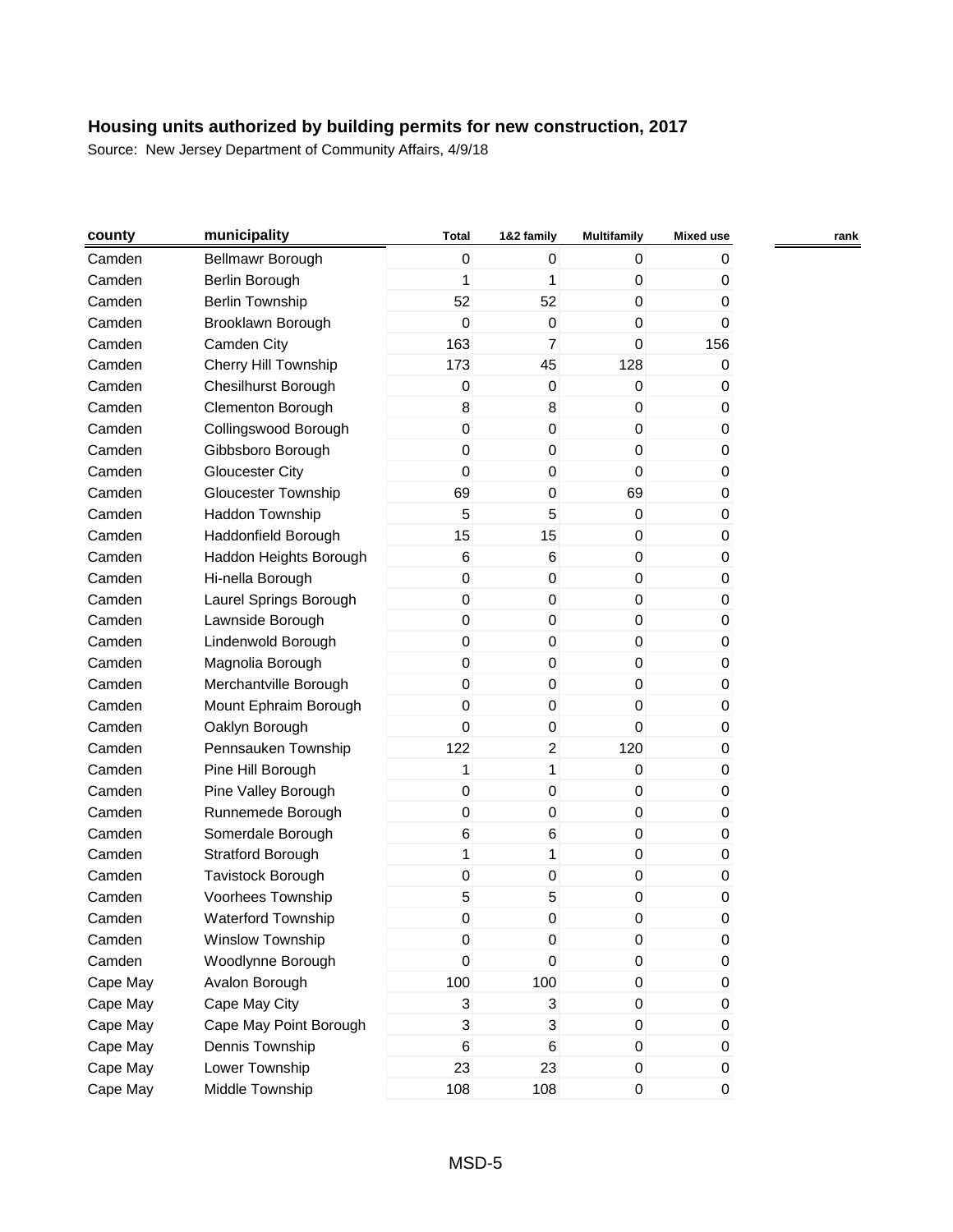| county   | municipality               | <b>Total</b>     | 1&2 family       | <b>Multifamily</b> | <b>Mixed use</b> |  |
|----------|----------------------------|------------------|------------------|--------------------|------------------|--|
| Camden   | Bellmawr Borough           | $\boldsymbol{0}$ | $\mathbf{0}$     | $\mathbf 0$        | 0                |  |
| Camden   | Berlin Borough             | 1                | 1                | $\mathbf 0$        | 0                |  |
| Camden   | <b>Berlin Township</b>     | 52               | 52               | 0                  | 0                |  |
| Camden   | Brooklawn Borough          | 0                | $\boldsymbol{0}$ | 0                  | 0                |  |
| Camden   | Camden City                | 163              | $\overline{7}$   | $\mathbf 0$        | 156              |  |
| Camden   | Cherry Hill Township       | 173              | 45               | 128                | 0                |  |
| Camden   | Chesilhurst Borough        | 0                | $\pmb{0}$        | $\mathbf 0$        | 0                |  |
| Camden   | <b>Clementon Borough</b>   | 8                | 8                | $\boldsymbol{0}$   | 0                |  |
| Camden   | Collingswood Borough       | $\mathsf 0$      | $\mathbf 0$      | $\boldsymbol{0}$   | 0                |  |
| Camden   | Gibbsboro Borough          | $\pmb{0}$        | $\pmb{0}$        | $\boldsymbol{0}$   | 0                |  |
| Camden   | <b>Gloucester City</b>     | 0                | $\mathbf 0$      | 0                  | 0                |  |
| Camden   | <b>Gloucester Township</b> | 69               | $\pmb{0}$        | 69                 | 0                |  |
| Camden   | Haddon Township            | 5                | 5                | $\mathbf 0$        | 0                |  |
| Camden   | Haddonfield Borough        | 15               | 15               | 0                  | 0                |  |
| Camden   | Haddon Heights Borough     | 6                | $\,6$            | $\boldsymbol{0}$   | 0                |  |
| Camden   | Hi-nella Borough           | $\pmb{0}$        | $\mathbf 0$      | $\boldsymbol{0}$   | 0                |  |
| Camden   | Laurel Springs Borough     | 0                | $\pmb{0}$        | 0                  | 0                |  |
| Camden   | Lawnside Borough           | 0                | $\mathbf 0$      | $\boldsymbol{0}$   | 0                |  |
| Camden   | Lindenwold Borough         | $\pmb{0}$        | $\pmb{0}$        | $\boldsymbol{0}$   | 0                |  |
| Camden   | Magnolia Borough           | 0                | $\mathbf 0$      | $\mathbf 0$        | 0                |  |
| Camden   | Merchantville Borough      | $\pmb{0}$        | $\pmb{0}$        | 0                  | 0                |  |
| Camden   | Mount Ephraim Borough      | $\mathbf 0$      | $\mathbf 0$      | 0                  | 0                |  |
| Camden   | Oaklyn Borough             | $\mathbf 0$      | $\pmb{0}$        | $\mathbf 0$        | 0                |  |
| Camden   | Pennsauken Township        | 122              | $\overline{a}$   | 120                | 0                |  |
| Camden   | Pine Hill Borough          | 1                | 1                | 0                  | 0                |  |
| Camden   | Pine Valley Borough        | $\mathsf 0$      | $\pmb{0}$        | $\boldsymbol{0}$   | 0                |  |
| Camden   | Runnemede Borough          | 0                | $\mathbf 0$      | $\mathbf 0$        | 0                |  |
| Camden   | Somerdale Borough          | 6                | $\,6$            | $\boldsymbol{0}$   | 0                |  |
| Camden   | <b>Stratford Borough</b>   | $\mathbf{1}$     | $\mathbf{1}$     | $\mathbf 0$        | 0                |  |
| Camden   | Tavistock Borough          | $\mathsf 0$      | $\boldsymbol{0}$ | $\boldsymbol{0}$   | 0                |  |
| Camden   | Voorhees Township          | 5                | 5                | $\mathbf 0$        | 0                |  |
| Camden   | Waterford Township         | 0                | $\Omega$         | 0                  | 0                |  |
| Camden   | Winslow Township           | $\,0\,$          | $\pmb{0}$        | $\pmb{0}$          | 0                |  |
| Camden   | Woodlynne Borough          | 0                | $\mathbf 0$      | $\boldsymbol{0}$   | 0                |  |
| Cape May | Avalon Borough             | 100              | 100              | $\pmb{0}$          | 0                |  |
| Cape May | Cape May City              | 3                | $\sqrt{3}$       | 0                  | 0                |  |
| Cape May | Cape May Point Borough     | 3                | $\sqrt{3}$       | $\mathbf 0$        | 0                |  |
| Cape May | Dennis Township            | 6                | $\,6$            | $\boldsymbol{0}$   | 0                |  |
| Cape May | Lower Township             | 23               | 23               | 0                  | 0                |  |
| Cape May | Middle Township            | 108              | 108              | $\pmb{0}$          | 0                |  |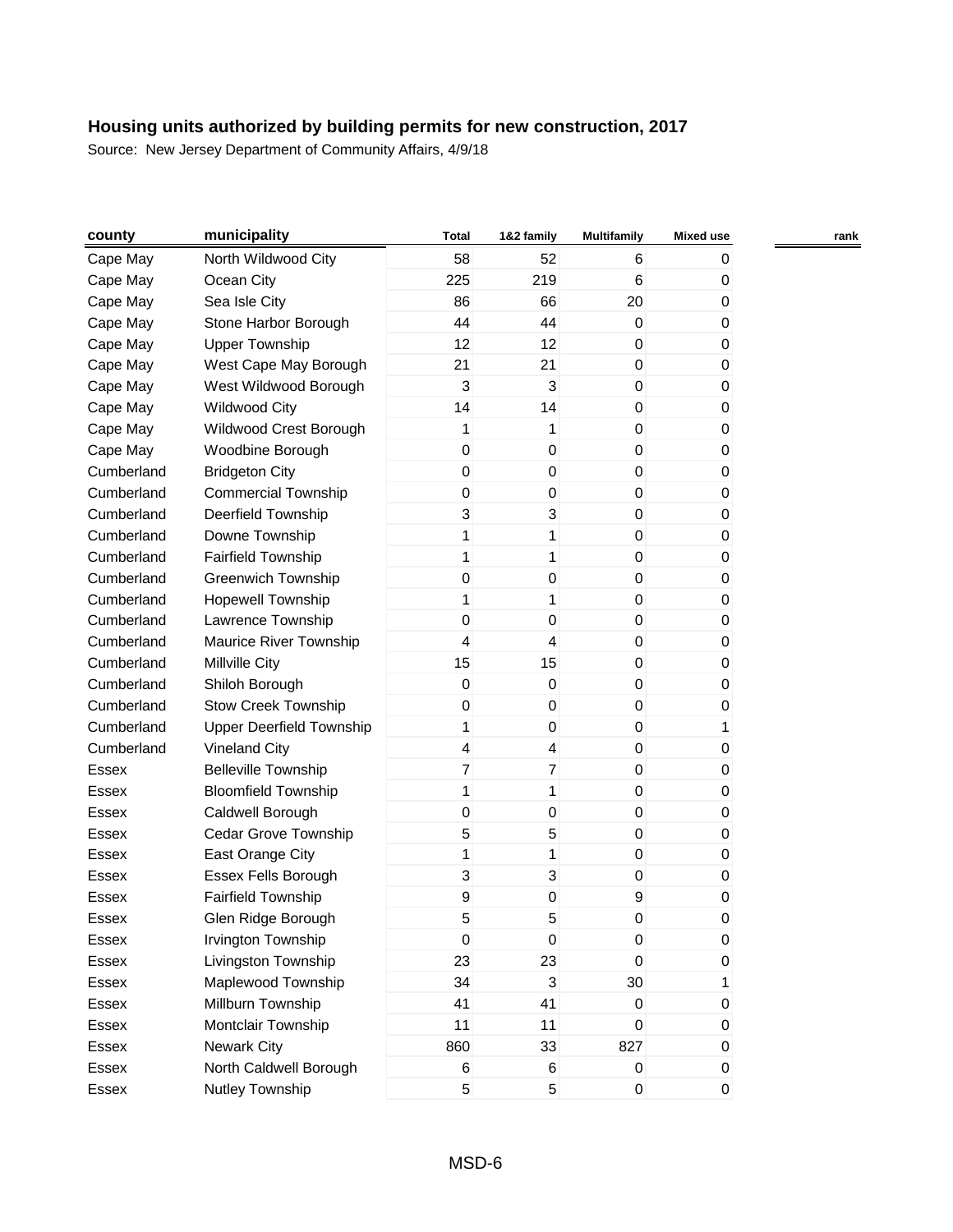| county       | municipality                    | <b>Total</b>   | 1&2 family     | <b>Multifamily</b> | <b>Mixed use</b> | rank |
|--------------|---------------------------------|----------------|----------------|--------------------|------------------|------|
| Cape May     | North Wildwood City             | 58             | 52             | 6                  | 0                |      |
| Cape May     | Ocean City                      | 225            | 219            | 6                  | 0                |      |
| Cape May     | Sea Isle City                   | 86             | 66             | 20                 | 0                |      |
| Cape May     | Stone Harbor Borough            | 44             | 44             | $\mathbf 0$        | 0                |      |
| Cape May     | <b>Upper Township</b>           | 12             | 12             | $\mathbf 0$        | 0                |      |
| Cape May     | West Cape May Borough           | 21             | 21             | 0                  | 0                |      |
| Cape May     | West Wildwood Borough           | 3              | 3              | $\mathbf 0$        | 0                |      |
| Cape May     | <b>Wildwood City</b>            | 14             | 14             | 0                  | 0                |      |
| Cape May     | Wildwood Crest Borough          | 1              | 1              | $\boldsymbol{0}$   | 0                |      |
| Cape May     | Woodbine Borough                | 0              | 0              | 0                  | 0                |      |
| Cumberland   | <b>Bridgeton City</b>           | 0              | 0              | 0                  | 0                |      |
| Cumberland   | <b>Commercial Township</b>      | 0              | $\mathbf 0$    | $\boldsymbol{0}$   | 0                |      |
| Cumberland   | Deerfield Township              | 3              | 3              | $\boldsymbol{0}$   | 0                |      |
| Cumberland   | Downe Township                  | 1              | 1              | $\mathbf 0$        | 0                |      |
| Cumberland   | <b>Fairfield Township</b>       | 1              | 1              | 0                  | 0                |      |
| Cumberland   | <b>Greenwich Township</b>       | 0              | 0              | $\boldsymbol{0}$   | 0                |      |
| Cumberland   | <b>Hopewell Township</b>        | 1              | 1              | 0                  | 0                |      |
| Cumberland   | Lawrence Township               | 0              | $\mathbf 0$    | 0                  | 0                |      |
| Cumberland   | Maurice River Township          | 4              | 4              | $\boldsymbol{0}$   | 0                |      |
| Cumberland   | <b>Millville City</b>           | 15             | 15             | $\boldsymbol{0}$   | 0                |      |
| Cumberland   | Shiloh Borough                  | $\pmb{0}$      | $\mathbf 0$    | $\mathbf 0$        | 0                |      |
| Cumberland   | <b>Stow Creek Township</b>      | 0              | 0              | 0                  | 0                |      |
| Cumberland   | <b>Upper Deerfield Township</b> | 1              | 0              | $\boldsymbol{0}$   | 1                |      |
| Cumberland   | <b>Vineland City</b>            | 4              | 4              | 0                  | 0                |      |
| Essex        | <b>Belleville Township</b>      | $\overline{7}$ | $\overline{7}$ | 0                  | 0                |      |
| Essex        | <b>Bloomfield Township</b>      | 1              | 1              | $\boldsymbol{0}$   | 0                |      |
| Essex        | Caldwell Borough                | 0              | $\mathbf 0$    | $\boldsymbol{0}$   | 0                |      |
| <b>Essex</b> | Cedar Grove Township            | 5              | 5              | 0                  | 0                |      |
| Essex        | East Orange City                | 1              | 1              | 0                  | 0                |      |
| Essex        | Essex Fells Borough             | 3              | 3              | 0                  | 0                |      |
| Essex        | Fairfield Township              | 9              | $\mathbf 0$    | 9                  | 0                |      |
| Essex        | Glen Ridge Borough              | 5              | 5              | 0                  | 0                |      |
| Essex        | Irvington Township              | $\overline{0}$ | $\,0\,$        | $\pmb{0}$          | 0                |      |
| Essex        | Livingston Township             | 23             | 23             | $\mathbf 0$        | 0                |      |
| Essex        | Maplewood Township              | 34             | 3              | $30\,$             | 1                |      |
| Essex        | Millburn Township               | 41             | 41             | $\mathbf 0$        | 0                |      |
| Essex        | Montclair Township              | 11             | 11             | $\mathbf 0$        | 0                |      |
| Essex        | <b>Newark City</b>              | 860            | 33             | 827                | 0                |      |
| Essex        | North Caldwell Borough          | 6              | 6              | $\mathbf 0$        | 0                |      |
| Essex        | Nutley Township                 | 5              | 5              | $\pmb{0}$          | $\boldsymbol{0}$ |      |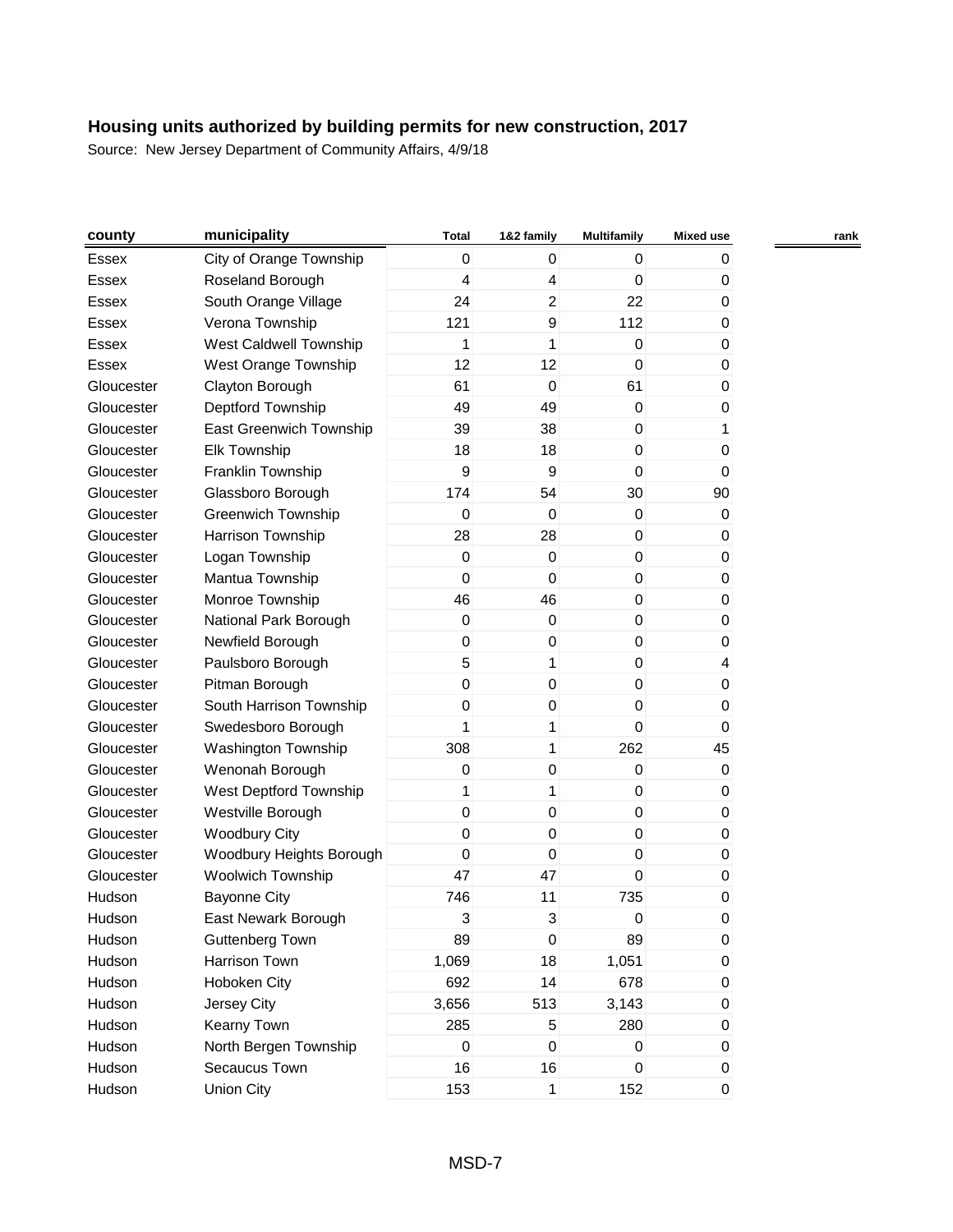| county     | municipality              | <b>Total</b>     | 1&2 family     | Multifamily      | Mixed use | rank |
|------------|---------------------------|------------------|----------------|------------------|-----------|------|
| Essex      | City of Orange Township   | $\mathbf 0$      | 0              | 0                | 0         |      |
| Essex      | Roseland Borough          | 4                | 4              | $\Omega$         | 0         |      |
| Essex      | South Orange Village      | 24               | $\overline{c}$ | 22               | 0         |      |
| Essex      | Verona Township           | 121              | 9              | 112              | 0         |      |
| Essex      | West Caldwell Township    | 1                | 1              | 0                | 0         |      |
| Essex      | West Orange Township      | 12               | 12             | $\mathbf 0$      | 0         |      |
| Gloucester | Clayton Borough           | 61               | $\mathbf 0$    | 61               | 0         |      |
| Gloucester | Deptford Township         | 49               | 49             | $\mathbf 0$      | 0         |      |
| Gloucester | East Greenwich Township   | 39               | 38             | $\boldsymbol{0}$ | 1         |      |
| Gloucester | <b>Elk Township</b>       | 18               | 18             | $\boldsymbol{0}$ | 0         |      |
| Gloucester | Franklin Township         | 9                | 9              | $\mathbf 0$      | 0         |      |
| Gloucester | Glassboro Borough         | 174              | 54             | 30               | 90        |      |
| Gloucester | <b>Greenwich Township</b> | 0                | 0              | $\boldsymbol{0}$ | 0         |      |
| Gloucester | Harrison Township         | 28               | 28             | 0                | 0         |      |
| Gloucester | Logan Township            | $\mathbf 0$      | $\pmb{0}$      | 0                | 0         |      |
| Gloucester | Mantua Township           | $\mathbf 0$      | 0              | $\boldsymbol{0}$ | 0         |      |
| Gloucester | Monroe Township           | 46               | 46             | $\boldsymbol{0}$ | 0         |      |
| Gloucester | National Park Borough     | 0                | 0              | $\mathbf 0$      | 0         |      |
| Gloucester | Newfield Borough          | $\boldsymbol{0}$ | 0              | 0                | 0         |      |
| Gloucester | Paulsboro Borough         | 5                | $\mathbf{1}$   | $\boldsymbol{0}$ | 4         |      |
| Gloucester | Pitman Borough            | $\mathbf 0$      | 0              | 0                | 0         |      |
| Gloucester | South Harrison Township   | 0                | 0              | $\mathbf 0$      | 0         |      |
| Gloucester | Swedesboro Borough        | 1                | 1              | $\mathbf 0$      | 0         |      |
| Gloucester | Washington Township       | 308              | $\mathbf{1}$   | 262              | 45        |      |
| Gloucester | Wenonah Borough           | 0                | 0              | 0                | 0         |      |
| Gloucester | West Deptford Township    | 1                | 1              | 0                | 0         |      |
| Gloucester | Westville Borough         | $\mathbf 0$      | 0              | $\mathbf 0$      | 0         |      |
| Gloucester | <b>Woodbury City</b>      | $\mathbf 0$      | 0              | 0                | 0         |      |
| Gloucester | Woodbury Heights Borough  | $\mathbf 0$      | 0              | $\mathbf 0$      | 0         |      |
| Gloucester | <b>Woolwich Township</b>  | 47               | 47             | $\mathbf 0$      | 0         |      |
| Hudson     | <b>Bayonne City</b>       | 746              | 11             | 735              | 0         |      |
| Hudson     | East Newark Borough       | 3                | 3              | 0                | 0         |      |
| Hudson     | <b>Guttenberg Town</b>    | 89               | $\pmb{0}$      | 89               | 0         |      |
| Hudson     | Harrison Town             | 1,069            | 18             | 1,051            | 0         |      |
| Hudson     | Hoboken City              | 692              | 14             | 678              | 0         |      |
| Hudson     | Jersey City               | 3,656            | 513            | 3,143            | 0         |      |
| Hudson     | Kearny Town               | 285              | $\,$ 5 $\,$    | 280              | 0         |      |
| Hudson     | North Bergen Township     | $\mathbf 0$      | $\mathbf 0$    | $\boldsymbol{0}$ | 0         |      |
| Hudson     | Secaucus Town             | 16               | 16             | 0                | 0         |      |
| Hudson     | <b>Union City</b>         | 153              | $\mathbf{1}$   | 152              | 0         |      |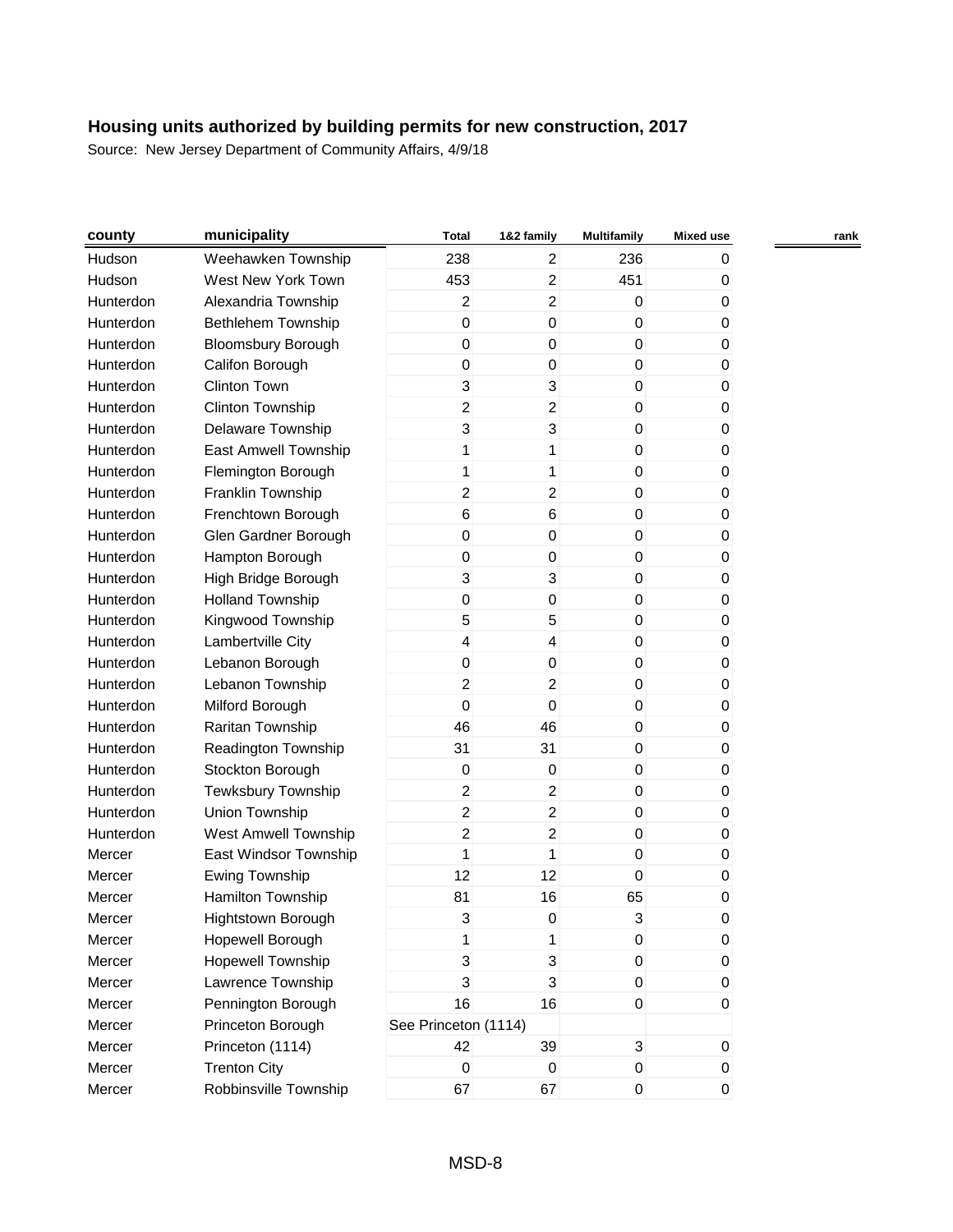| county    | municipality              | <b>Total</b>         | 1&2 family                | <b>Multifamily</b> | <b>Mixed use</b> |  |
|-----------|---------------------------|----------------------|---------------------------|--------------------|------------------|--|
| Hudson    | Weehawken Township        | 238                  | $\overline{2}$            | 236                | 0                |  |
| Hudson    | West New York Town        | 453                  | $\overline{c}$            | 451                | 0                |  |
| Hunterdon | Alexandria Township       | $\overline{2}$       | 2                         | 0                  | 0                |  |
| Hunterdon | <b>Bethlehem Township</b> | $\mathbf 0$          | $\boldsymbol{0}$          | $\pmb{0}$          | 0                |  |
| Hunterdon | <b>Bloomsbury Borough</b> | $\boldsymbol{0}$     | $\pmb{0}$                 | $\pmb{0}$          | 0                |  |
| Hunterdon | Califon Borough           | $\boldsymbol{0}$     | $\boldsymbol{0}$          | $\pmb{0}$          | 0                |  |
| Hunterdon | <b>Clinton Town</b>       | 3                    | 3                         | $\mathbf 0$        | 0                |  |
| Hunterdon | Clinton Township          | $\overline{2}$       | $\overline{c}$            | $\boldsymbol{0}$   | 0                |  |
| Hunterdon | Delaware Township         | 3                    | 3                         | $\mathbf 0$        | $\pmb{0}$        |  |
| Hunterdon | East Amwell Township      | 1                    | 1                         | $\pmb{0}$          | 0                |  |
| Hunterdon | Flemington Borough        | 1                    | 1                         | $\pmb{0}$          | 0                |  |
| Hunterdon | Franklin Township         | $\overline{c}$       | $\overline{c}$            | $\pmb{0}$          | 0                |  |
| Hunterdon | Frenchtown Borough        | $\,6$                | $\,6$                     | $\pmb{0}$          | 0                |  |
| Hunterdon | Glen Gardner Borough      | $\boldsymbol{0}$     | $\boldsymbol{0}$          | $\pmb{0}$          | 0                |  |
| Hunterdon | Hampton Borough           | $\boldsymbol{0}$     | $\mathbf 0$               | $\boldsymbol{0}$   | 0                |  |
| Hunterdon | High Bridge Borough       | 3                    | $\mathfrak{B}$            | $\pmb{0}$          | $\pmb{0}$        |  |
| Hunterdon | <b>Holland Township</b>   | $\pmb{0}$            | $\boldsymbol{0}$          | $\pmb{0}$          | 0                |  |
| Hunterdon | Kingwood Township         | 5                    | 5                         | $\pmb{0}$          | 0                |  |
| Hunterdon | Lambertville City         | 4                    | 4                         | $\overline{0}$     | 0                |  |
| Hunterdon | Lebanon Borough           | $\boldsymbol{0}$     | $\boldsymbol{0}$          | $\pmb{0}$          | 0                |  |
| Hunterdon | Lebanon Township          | $\overline{2}$       | $\overline{c}$            | $\boldsymbol{0}$   | 0                |  |
| Hunterdon | Milford Borough           | $\mathbf 0$          | $\boldsymbol{0}$          | $\boldsymbol{0}$   | 0                |  |
| Hunterdon | Raritan Township          | 46                   | 46                        | $\pmb{0}$          | 0                |  |
| Hunterdon | Readington Township       | 31                   | 31                        | $\pmb{0}$          | 0                |  |
| Hunterdon | Stockton Borough          | 0                    | 0                         | $\mathbf 0$        | 0                |  |
| Hunterdon | Tewksbury Township        | $\overline{c}$       | 2                         | $\overline{0}$     | 0                |  |
| Hunterdon | Union Township            | $\overline{c}$       | $\overline{c}$            | $\pmb{0}$          | 0                |  |
| Hunterdon | West Amwell Township      | $\overline{c}$       | $\overline{c}$            | $\pmb{0}$          | 0                |  |
| Mercer    | East Windsor Township     | 1                    | 1                         | $\mathbf 0$        | 0                |  |
| Mercer    | <b>Ewing Township</b>     | 12                   | 12                        | $\mathbf 0$        | 0                |  |
| Mercer    | Hamilton Township         | 81                   | 16                        | 65                 | 0                |  |
| Mercer    | Hightstown Borough        | 3                    | 0                         | 3                  | 0                |  |
| Mercer    | Hopewell Borough          | 1                    | 1                         | $\pmb{0}$          | 0                |  |
| Mercer    | <b>Hopewell Township</b>  | 3                    | $\sqrt{3}$                | $\pmb{0}$          | 0                |  |
| Mercer    | Lawrence Township         | 3                    | $\ensuremath{\mathsf{3}}$ | $\pmb{0}$          | 0                |  |
| Mercer    | Pennington Borough        | 16                   | 16                        | $\overline{0}$     | $\pmb{0}$        |  |
| Mercer    | Princeton Borough         | See Princeton (1114) |                           |                    |                  |  |
| Mercer    | Princeton (1114)          | 42                   | 39                        | $\mathbf{3}$       | 0                |  |
| Mercer    | <b>Trenton City</b>       | $\,0\,$              | 0                         | 0                  | 0                |  |
| Mercer    | Robbinsville Township     | 67                   | 67                        | $\pmb{0}$          | $\overline{0}$   |  |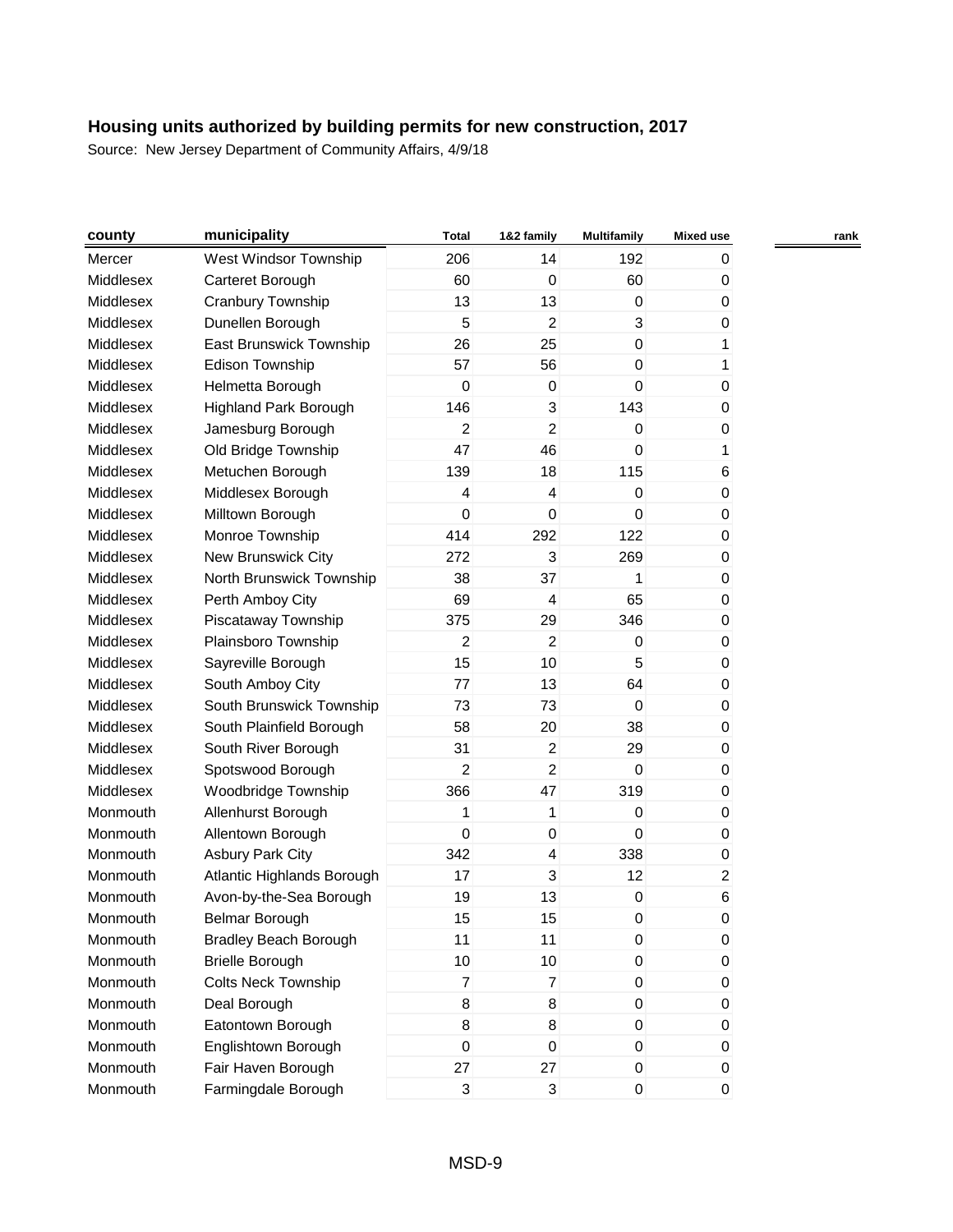| municipality<br>county                    | <b>Total</b>             | 1&2 family              | <b>Multifamily</b> | <b>Mixed use</b> |  |
|-------------------------------------------|--------------------------|-------------------------|--------------------|------------------|--|
| West Windsor Township<br>Mercer           | 206                      | 14                      | 192                | 0                |  |
| Middlesex<br>Carteret Borough             | 60                       | 0                       | 60                 | 0                |  |
| Middlesex<br>Cranbury Township            | 13                       | 13                      | 0                  | 0                |  |
| Middlesex<br>Dunellen Borough             | 5                        | $\overline{2}$          | 3                  | 0                |  |
| Middlesex<br>East Brunswick Township      | 26                       | 25                      | $\boldsymbol{0}$   | 1                |  |
| Middlesex<br>Edison Township              | 57                       | 56                      | $\mathbf 0$        | 1                |  |
| Middlesex<br>Helmetta Borough             | $\mathbf 0$              | $\pmb{0}$               | $\mathbf 0$        | 0                |  |
| Middlesex<br><b>Highland Park Borough</b> | 146                      | 3                       | 143                | 0                |  |
| Middlesex<br>Jamesburg Borough            | 2                        | $\overline{a}$          | $\mathbf 0$        | 0                |  |
| Middlesex<br>Old Bridge Township          | 47                       | 46                      | 0                  | 1                |  |
| Middlesex<br>Metuchen Borough             | 139                      | 18                      | 115                | 6                |  |
| Middlesex<br>Middlesex Borough            | $\overline{\mathcal{L}}$ | $\overline{\mathbf{4}}$ | 0                  | 0                |  |
| Middlesex<br>Milltown Borough             | $\mathbf 0$              | 0                       | $\mathbf 0$        | 0                |  |
| Monroe Township<br>Middlesex              | 414                      | 292                     | 122                | 0                |  |
| Middlesex<br>New Brunswick City           | 272                      | 3                       | 269                | 0                |  |
| Middlesex<br>North Brunswick Township     | 38                       | 37                      | 1                  | 0                |  |
| Middlesex<br>Perth Amboy City             | 69                       | $\overline{\mathbf{4}}$ | 65                 | 0                |  |
| Middlesex<br>Piscataway Township          | 375                      | 29                      | 346                | 0                |  |
| Middlesex<br>Plainsboro Township          | 2                        | $\overline{a}$          | 0                  | 0                |  |
| Middlesex<br>Sayreville Borough           | 15                       | 10                      | 5                  | 0                |  |
| Middlesex<br>South Amboy City             | 77                       | 13                      | 64                 | 0                |  |
| Middlesex<br>South Brunswick Township     | 73                       | 73                      | $\mathbf 0$        | 0                |  |
| Middlesex<br>South Plainfield Borough     | 58                       | 20                      | 38                 | $\pmb{0}$        |  |
| Middlesex<br>South River Borough          | 31                       | $\overline{a}$          | 29                 | 0                |  |
| Middlesex<br>Spotswood Borough            | 2                        | $\overline{a}$          | 0                  | 0                |  |
| Middlesex<br>Woodbridge Township          | 366                      | 47                      | 319                | 0                |  |
| Allenhurst Borough<br>Monmouth            | 1                        | 1                       | 0                  | 0                |  |
| Allentown Borough<br>Monmouth             | $\mathbf 0$              | 0                       | $\mathbf 0$        | $\pmb{0}$        |  |
| <b>Asbury Park City</b><br>Monmouth       | 342                      | $\overline{\mathbf{4}}$ | 338                | 0                |  |
| Atlantic Highlands Borough<br>Monmouth    | 17                       | 3                       | 12                 | $\overline{c}$   |  |
| Avon-by-the-Sea Borough<br>Monmouth       | 19                       | 13                      | $\pmb{0}$          | 6                |  |
| Belmar Borough<br>Monmouth                | 15                       | 15                      | 0                  | 0                |  |
| Monmouth<br><b>Bradley Beach Borough</b>  | 11                       | 11                      | $\pmb{0}$          | $\pmb{0}$        |  |
| Monmouth<br><b>Brielle Borough</b>        | 10                       | 10                      | $\boldsymbol{0}$   | 0                |  |
| Colts Neck Township<br>Monmouth           | $\overline{7}$           | $\overline{7}$          | $\mathbf 0$        | $\pmb{0}$        |  |
| Monmouth<br>Deal Borough                  | 8                        | 8                       | 0                  | 0                |  |
| Monmouth<br>Eatontown Borough             | 8                        | 8                       | $\boldsymbol{0}$   | $\pmb{0}$        |  |
| Monmouth<br>Englishtown Borough           | 0                        | 0                       | $\boldsymbol{0}$   | $\pmb{0}$        |  |
| Fair Haven Borough<br>Monmouth            | 27                       | 27                      | 0                  | $\pmb{0}$        |  |
| Farmingdale Borough<br>Monmouth           | $\mathbf{3}$             | 3                       | $\pmb{0}$          | $\overline{0}$   |  |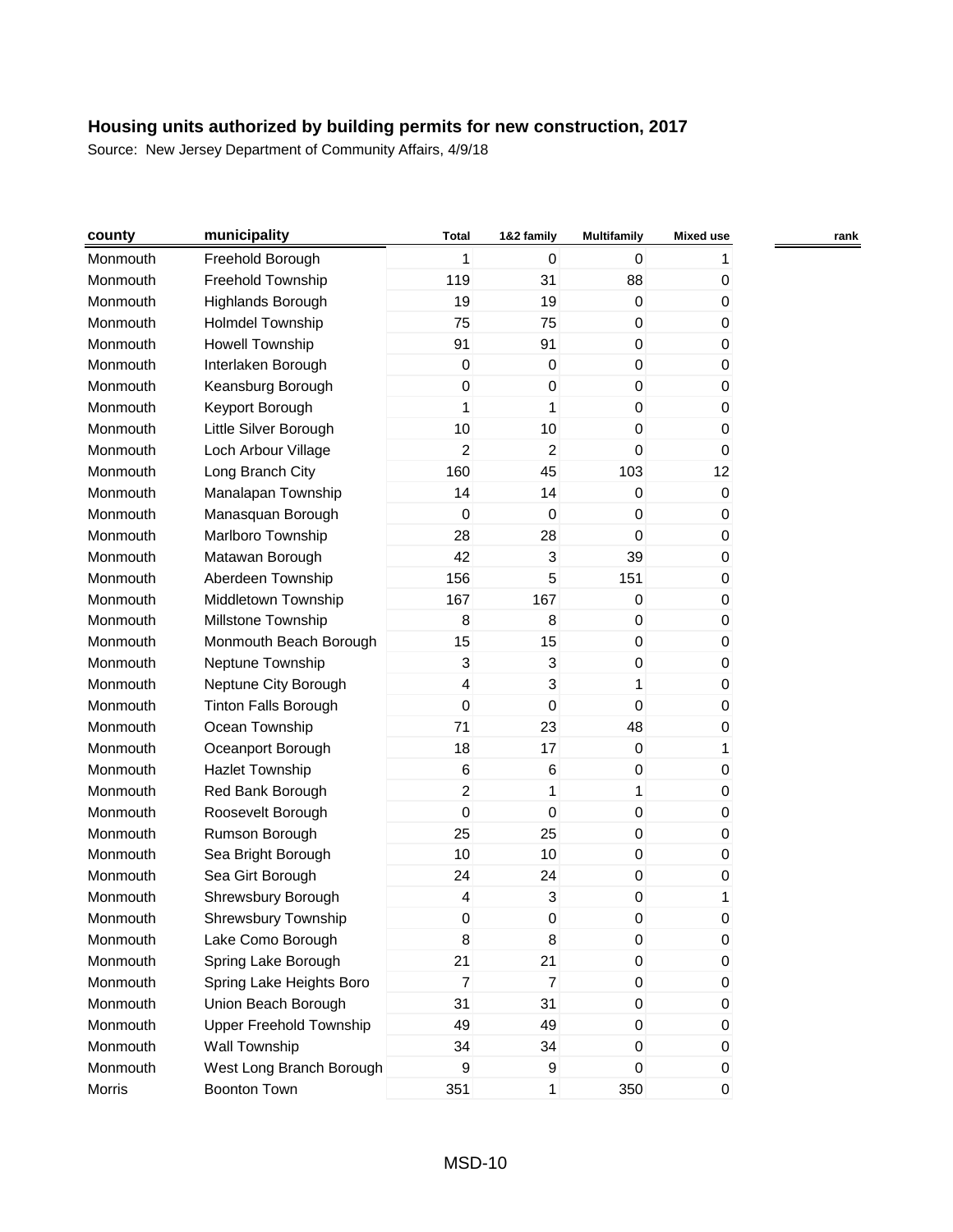| county   | municipality                   | <b>Total</b>     | 1&2 family     | <b>Multifamily</b> | <b>Mixed use</b> | rank |
|----------|--------------------------------|------------------|----------------|--------------------|------------------|------|
| Monmouth | Freehold Borough               | 1                | $\mathbf 0$    | $\Omega$           |                  |      |
| Monmouth | Freehold Township              | 119              | 31             | 88                 | 0                |      |
| Monmouth | Highlands Borough              | 19               | 19             | 0                  | 0                |      |
| Monmouth | <b>Holmdel Township</b>        | 75               | 75             | 0                  | 0                |      |
| Monmouth | <b>Howell Township</b>         | 91               | 91             | $\boldsymbol{0}$   | 0                |      |
| Monmouth | Interlaken Borough             | $\boldsymbol{0}$ | $\mathbf 0$    | $\boldsymbol{0}$   | 0                |      |
| Monmouth | Keansburg Borough              | 0                | 0              | $\mathbf 0$        | 0                |      |
| Monmouth | Keyport Borough                | 1                | 1              | $\boldsymbol{0}$   | 0                |      |
| Monmouth | Little Silver Borough          | 10               | 10             | 0                  | 0                |      |
| Monmouth | Loch Arbour Village            | 2                | $\overline{c}$ | 0                  | 0                |      |
| Monmouth | Long Branch City               | 160              | 45             | 103                | 12               |      |
| Monmouth | Manalapan Township             | 14               | 14             | 0                  | $\pmb{0}$        |      |
| Monmouth | Manasquan Borough              | $\mathbf 0$      | $\mathbf 0$    | 0                  | 0                |      |
| Monmouth | Marlboro Township              | 28               | 28             | 0                  | 0                |      |
| Monmouth | Matawan Borough                | 42               | 3              | 39                 | 0                |      |
| Monmouth | Aberdeen Township              | 156              | 5              | 151                | 0                |      |
| Monmouth | Middletown Township            | 167              | 167            | 0                  | 0                |      |
| Monmouth | Millstone Township             | 8                | 8              | 0                  | 0                |      |
| Monmouth | Monmouth Beach Borough         | 15               | 15             | $\boldsymbol{0}$   | 0                |      |
| Monmouth | Neptune Township               | 3                | 3              | $\mathbf 0$        | 0                |      |
| Monmouth | Neptune City Borough           | 4                | 3              | 1                  | 0                |      |
| Monmouth | <b>Tinton Falls Borough</b>    | 0                | $\mathbf 0$    | 0                  | 0                |      |
| Monmouth | Ocean Township                 | 71               | 23             | 48                 | 0                |      |
| Monmouth | Oceanport Borough              | 18               | 17             | 0                  | 1                |      |
| Monmouth | Hazlet Township                | $\,6$            | 6              | 0                  | 0                |      |
| Monmouth | Red Bank Borough               | $\overline{c}$   | 1              | 1                  | 0                |      |
| Monmouth | Roosevelt Borough              | 0                | 0              | $\mathbf 0$        | 0                |      |
| Monmouth | Rumson Borough                 | 25               | 25             | 0                  | 0                |      |
| Monmouth | Sea Bright Borough             | 10               | 10             | 0                  | 0                |      |
| Monmouth | Sea Girt Borough               | 24               | 24             | 0                  | 0                |      |
| Monmouth | Shrewsbury Borough             | 4                | 3              | 0                  | 1                |      |
| Monmouth | <b>Shrewsbury Township</b>     | 0                | 0              | 0                  | 0                |      |
| Monmouth | Lake Como Borough              | 8                | 8              | $\pmb{0}$          | $\pmb{0}$        |      |
| Monmouth | Spring Lake Borough            | 21               | 21             | 0                  | 0                |      |
| Monmouth | Spring Lake Heights Boro       | 7                | $\overline{7}$ | 0                  | 0                |      |
| Monmouth | Union Beach Borough            | 31               | 31             | 0                  | 0                |      |
| Monmouth | <b>Upper Freehold Township</b> | 49               | 49             | 0                  | 0                |      |
| Monmouth | Wall Township                  | 34               | 34             | 0                  | 0                |      |
| Monmouth | West Long Branch Borough       | 9                | 9              | 0                  | 0                |      |
| Morris   | Boonton Town                   | 351              | 1              | 350                | 0                |      |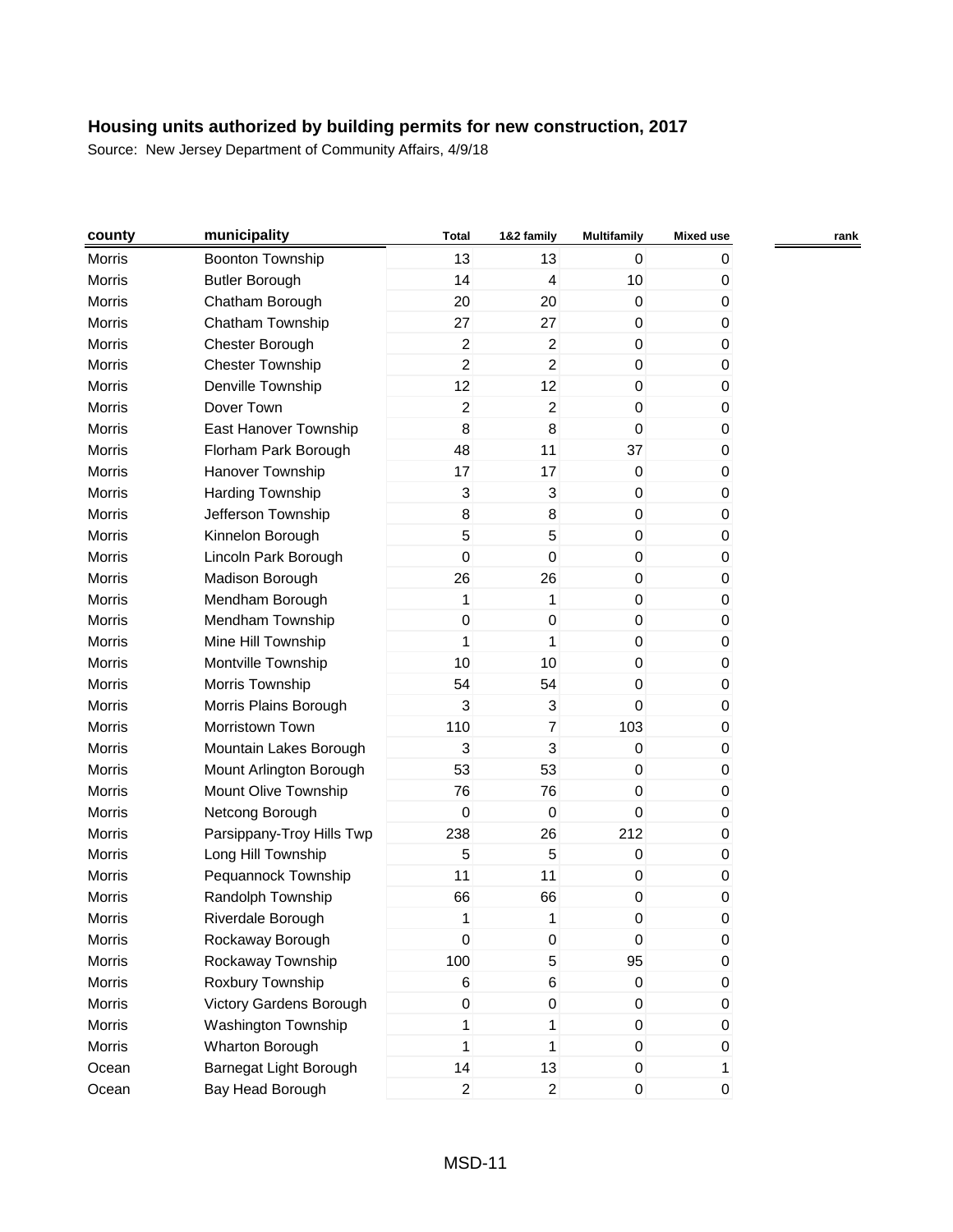| county        | municipality              | <b>Total</b>              | 1&2 family                | <b>Multifamily</b> | <b>Mixed use</b> |  |
|---------------|---------------------------|---------------------------|---------------------------|--------------------|------------------|--|
| Morris        | <b>Boonton Township</b>   | 13                        | 13                        | 0                  | 0                |  |
| Morris        | <b>Butler Borough</b>     | 14                        | 4                         | 10                 | 0                |  |
| Morris        | Chatham Borough           | 20                        | 20                        | 0                  | 0                |  |
| Morris        | Chatham Township          | 27                        | 27                        | 0                  | 0                |  |
| Morris        | Chester Borough           | $\boldsymbol{2}$          | $\boldsymbol{2}$          | $\boldsymbol{0}$   | 0                |  |
| Morris        | <b>Chester Township</b>   | $\overline{c}$            | $\overline{c}$            | $\mathbf 0$        | 0                |  |
| Morris        | Denville Township         | 12                        | 12                        | 0                  | 0                |  |
| Morris        | Dover Town                | $\overline{c}$            | $\overline{c}$            | $\mathbf 0$        | 0                |  |
| Morris        | East Hanover Township     | 8                         | 8                         | $\mathbf 0$        | 0                |  |
| Morris        | Florham Park Borough      | 48                        | 11                        | 37                 | 0                |  |
| Morris        | Hanover Township          | 17                        | 17                        | $\mathbf 0$        | 0                |  |
| Morris        | Harding Township          | $\ensuremath{\mathsf{3}}$ | $\ensuremath{\mathsf{3}}$ | $\boldsymbol{0}$   | 0                |  |
| Morris        | Jefferson Township        | 8                         | 8                         | $\mathbf 0$        | 0                |  |
| Morris        | Kinnelon Borough          | 5                         | 5                         | $\mathbf 0$        | 0                |  |
| Morris        | Lincoln Park Borough      | 0                         | $\mathbf 0$               | $\mathbf 0$        | 0                |  |
| Morris        | Madison Borough           | 26                        | 26                        | $\mathbf 0$        | 0                |  |
| Morris        | Mendham Borough           | 1                         | 1                         | 0                  | 0                |  |
| Morris        | Mendham Township          | $\boldsymbol{0}$          | 0                         | 0                  | 0                |  |
| Morris        | Mine Hill Township        | 1                         | 1                         | $\mathbf 0$        | 0                |  |
| Morris        | Montville Township        | 10                        | 10                        | $\mathbf 0$        | 0                |  |
| Morris        | Morris Township           | 54                        | 54                        | 0                  | 0                |  |
| Morris        | Morris Plains Borough     | 3                         | 3                         | 0                  | 0                |  |
| Morris        | Morristown Town           | 110                       | $\overline{7}$            | 103                | 0                |  |
| Morris        | Mountain Lakes Borough    | 3                         | 3                         | 0                  | 0                |  |
| Morris        | Mount Arlington Borough   | 53                        | 53                        | 0                  | 0                |  |
| Morris        | Mount Olive Township      | 76                        | 76                        | $\mathbf 0$        | 0                |  |
| Morris        | Netcong Borough           | $\mathbf 0$               | 0                         | 0                  | 0                |  |
| Morris        | Parsippany-Troy Hills Twp | 238                       | 26                        | 212                | 0                |  |
| <b>Morris</b> | Long Hill Township        | 5                         | 5                         | 0                  | 0                |  |
| Morris        | Pequannock Township       | 11                        | 11                        | $\boldsymbol{0}$   | 0                |  |
| Morris        | Randolph Township         | 66                        | 66                        | $\mathbf 0$        | 0                |  |
| Morris        | Riverdale Borough         | 1                         | 1                         | 0                  | 0                |  |
| Morris        | Rockaway Borough          | $\boldsymbol{0}$          | 0                         | $\boldsymbol{0}$   | $\pmb{0}$        |  |
| Morris        | Rockaway Township         | 100                       | 5                         | 95                 | 0                |  |
| Morris        | Roxbury Township          | 6                         | 6                         | 0                  | 0                |  |
| Morris        | Victory Gardens Borough   | $\boldsymbol{0}$          | $\mathbf 0$               | 0                  | 0                |  |
| Morris        | Washington Township       | 1                         | 1                         | 0                  | 0                |  |
| Morris        | Wharton Borough           | 1                         | 1                         | $\mathbf 0$        | 0                |  |
| Ocean         | Barnegat Light Borough    | 14                        | 13                        | 0                  | 1                |  |
| Ocean         | Bay Head Borough          | $\overline{a}$            | $\overline{2}$            | 0                  | 0                |  |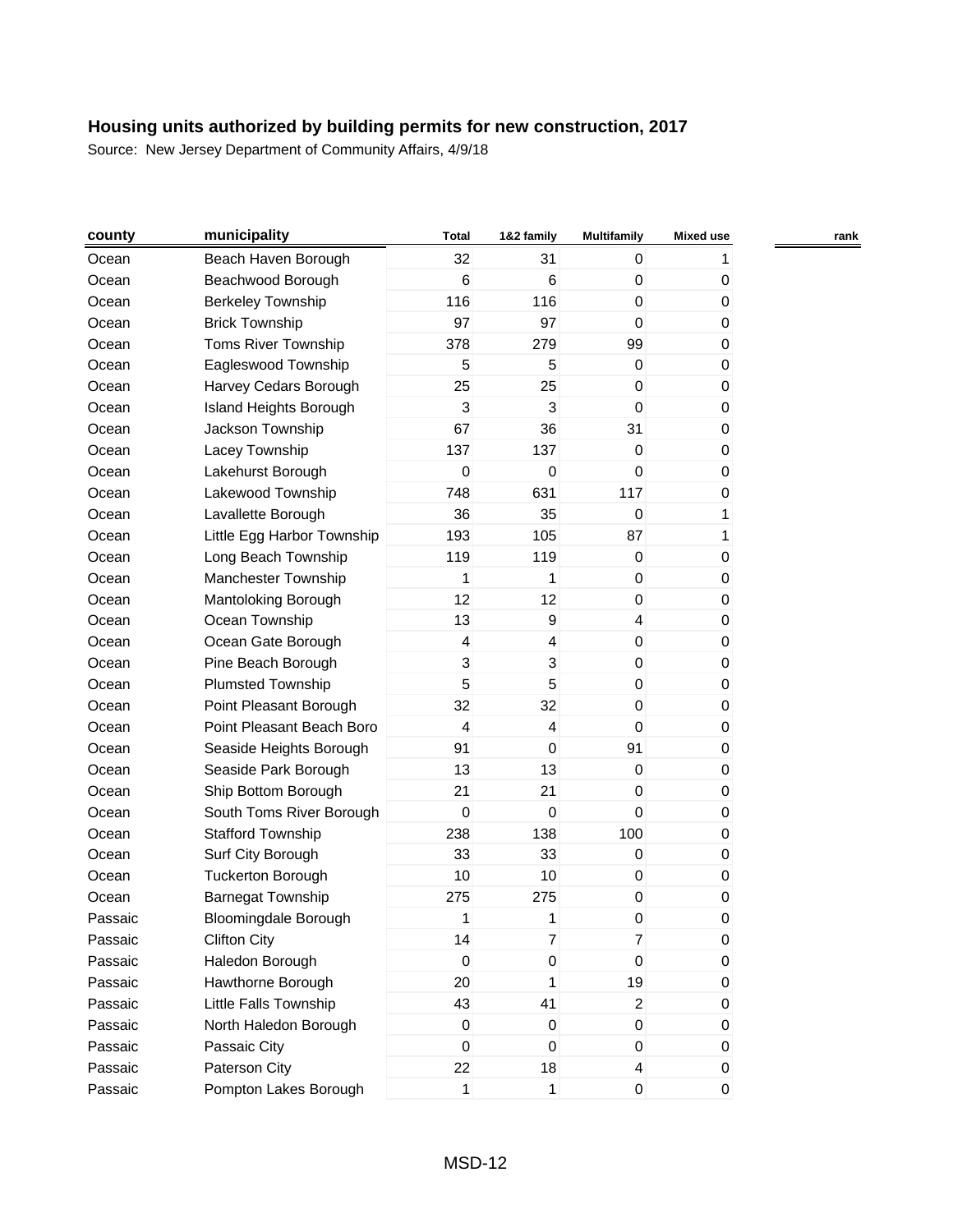| county  | municipality                  | <b>Total</b>              | 1&2 family              | <b>Multifamily</b> | <b>Mixed use</b> | rank |
|---------|-------------------------------|---------------------------|-------------------------|--------------------|------------------|------|
| Ocean   | Beach Haven Borough           | 32                        | 31                      | 0                  |                  |      |
| Ocean   | Beachwood Borough             | 6                         | 6                       | $\boldsymbol{0}$   | 0                |      |
| Ocean   | <b>Berkeley Township</b>      | 116                       | 116                     | 0                  | 0                |      |
| Ocean   | <b>Brick Township</b>         | 97                        | 97                      | 0                  | 0                |      |
| Ocean   | <b>Toms River Township</b>    | 378                       | 279                     | 99                 | 0                |      |
| Ocean   | Eagleswood Township           | 5                         | 5                       | $\pmb{0}$          | 0                |      |
| Ocean   | Harvey Cedars Borough         | 25                        | 25                      | 0                  | 0                |      |
| Ocean   | <b>Island Heights Borough</b> | 3                         | 3                       | $\mathbf 0$        | 0                |      |
| Ocean   | Jackson Township              | 67                        | 36                      | 31                 | 0                |      |
| Ocean   | Lacey Township                | 137                       | 137                     | 0                  | 0                |      |
| Ocean   | Lakehurst Borough             | $\mathbf 0$               | $\boldsymbol{0}$        | $\mathbf 0$        | 0                |      |
| Ocean   | Lakewood Township             | 748                       | 631                     | 117                | 0                |      |
| Ocean   | Lavallette Borough            | 36                        | 35                      | $\pmb{0}$          | 1                |      |
| Ocean   | Little Egg Harbor Township    | 193                       | 105                     | 87                 | 1                |      |
| Ocean   | Long Beach Township           | 119                       | 119                     | 0                  | 0                |      |
| Ocean   | Manchester Township           | 1                         | 1                       | $\boldsymbol{0}$   | 0                |      |
| Ocean   | Mantoloking Borough           | 12                        | 12                      | 0                  | 0                |      |
| Ocean   | Ocean Township                | 13                        | $\boldsymbol{9}$        | $\overline{4}$     | 0                |      |
| Ocean   | Ocean Gate Borough            | $\overline{\mathcal{L}}$  | $\overline{\mathbf{4}}$ | $\boldsymbol{0}$   | 0                |      |
| Ocean   | Pine Beach Borough            | $\ensuremath{\mathsf{3}}$ | 3                       | $\mathbf 0$        | 0                |      |
| Ocean   | <b>Plumsted Township</b>      | 5                         | 5                       | 0                  | 0                |      |
| Ocean   | Point Pleasant Borough        | 32                        | 32                      | 0                  | 0                |      |
| Ocean   | Point Pleasant Beach Boro     | 4                         | $\overline{\mathbf{4}}$ | $\mathbf 0$        | 0                |      |
| Ocean   | Seaside Heights Borough       | 91                        | $\boldsymbol{0}$        | 91                 | 0                |      |
| Ocean   | Seaside Park Borough          | 13                        | 13                      | $\mathbf 0$        | 0                |      |
| Ocean   | Ship Bottom Borough           | 21                        | 21                      | 0                  | 0                |      |
| Ocean   | South Toms River Borough      | $\mathbf 0$               | 0                       | $\mathbf 0$        | 0                |      |
| Ocean   | <b>Stafford Township</b>      | 238                       | 138                     | 100                | 0                |      |
| Ocean   | Surf City Borough             | 33                        | 33                      | 0                  | 0                |      |
| Ocean   | <b>Tuckerton Borough</b>      | 10                        | 10                      | $\boldsymbol{0}$   | 0                |      |
| Ocean   | <b>Barnegat Township</b>      | 275                       | 275                     | $\pmb{0}$          | 0                |      |
| Passaic | <b>Bloomingdale Borough</b>   | 1                         | 1                       | 0                  | 0                |      |
| Passaic | <b>Clifton City</b>           | 14                        | 7                       | $\overline{7}$     | 0                |      |
| Passaic | Haledon Borough               | $\Omega$                  | $\mathsf 0$             | $\mathbf 0$        | 0                |      |
| Passaic | Hawthorne Borough             | 20                        | 1                       | 19                 | 0                |      |
| Passaic | Little Falls Township         | 43                        | 41                      | $\overline{2}$     | 0                |      |
| Passaic | North Haledon Borough         | $\boldsymbol{0}$          | $\pmb{0}$               | $\boldsymbol{0}$   | 0                |      |
| Passaic | Passaic City                  | 0                         | $\pmb{0}$               | $\boldsymbol{0}$   | 0                |      |
| Passaic | Paterson City                 | 22                        | 18                      | 4                  | 0                |      |
| Passaic | Pompton Lakes Borough         | $\mathbf{1}$              | 1                       | $\pmb{0}$          | 0                |      |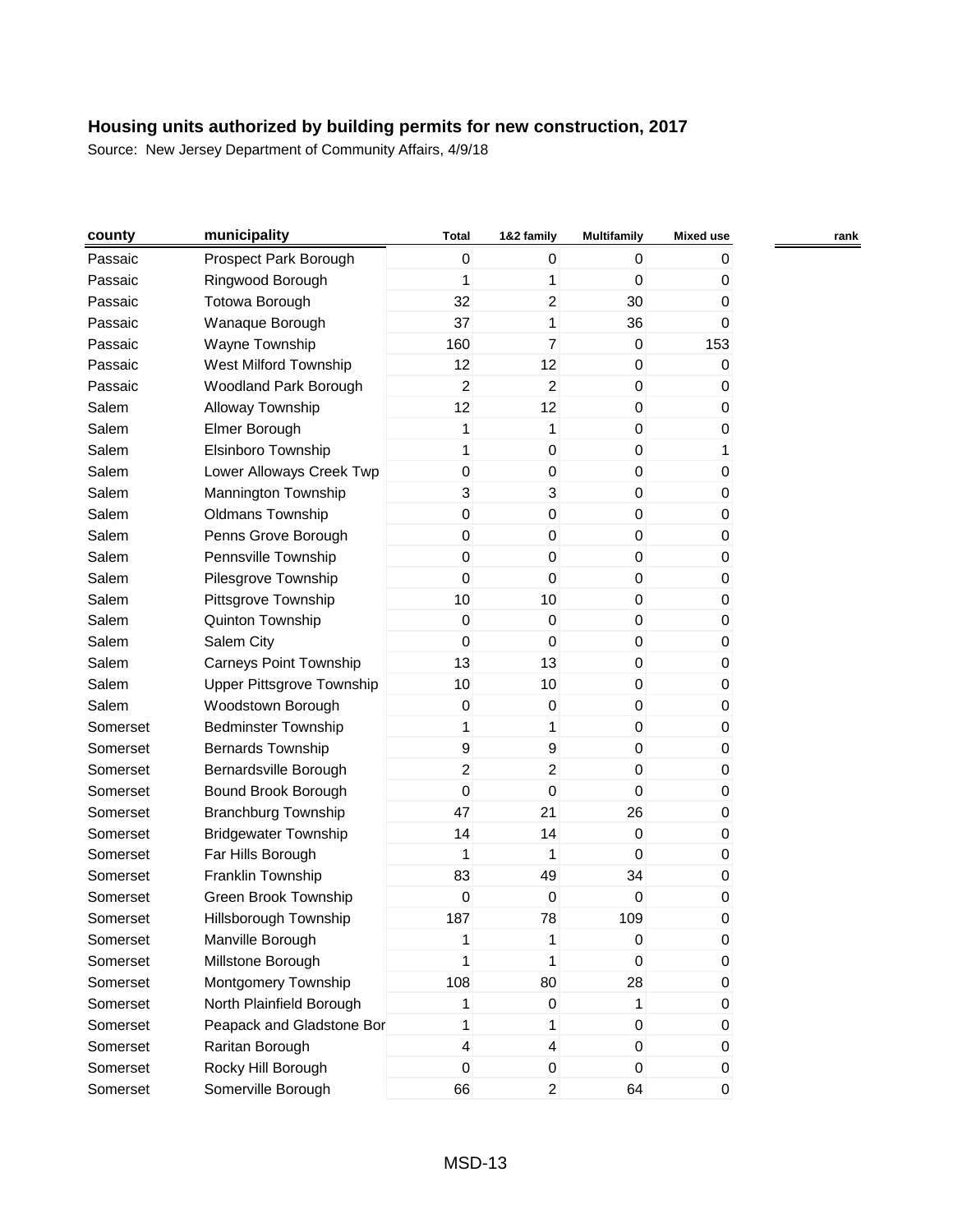| county   | municipality                     | <b>Total</b>     | 1&2 family     | <b>Multifamily</b> | Mixed use | rank |
|----------|----------------------------------|------------------|----------------|--------------------|-----------|------|
| Passaic  | Prospect Park Borough            | $\mathbf 0$      | 0              | 0                  | 0         |      |
| Passaic  | Ringwood Borough                 | 1                | 1              | $\mathbf 0$        | 0         |      |
| Passaic  | Totowa Borough                   | 32               | $\overline{a}$ | 30                 | 0         |      |
| Passaic  | Wanaque Borough                  | 37               | 1              | 36                 | 0         |      |
| Passaic  | Wayne Township                   | 160              | $\overline{7}$ | 0                  | 153       |      |
| Passaic  | West Milford Township            | 12               | 12             | $\boldsymbol{0}$   | 0         |      |
| Passaic  | Woodland Park Borough            | 2                | $\overline{a}$ | $\boldsymbol{0}$   | 0         |      |
| Salem    | Alloway Township                 | 12               | 12             | 0                  | 0         |      |
| Salem    | Elmer Borough                    | 1                | 1              | 0                  | 0         |      |
| Salem    | Elsinboro Township               | 1                | $\mathsf 0$    | $\boldsymbol{0}$   | 1         |      |
| Salem    | Lower Alloways Creek Twp         | $\pmb{0}$        | $\pmb{0}$      | 0                  | 0         |      |
| Salem    | Mannington Township              | 3                | 3              | 0                  | 0         |      |
| Salem    | <b>Oldmans Township</b>          | $\boldsymbol{0}$ | 0              | $\pmb{0}$          | 0         |      |
| Salem    | Penns Grove Borough              | $\boldsymbol{0}$ | 0              | $\pmb{0}$          | 0         |      |
| Salem    | Pennsville Township              | $\pmb{0}$        | 0              | $\mathbf 0$        | 0         |      |
| Salem    | Pilesgrove Township              | $\mathbf 0$      | 0              | $\pmb{0}$          | 0         |      |
| Salem    | Pittsgrove Township              | 10               | 10             | $\boldsymbol{0}$   | 0         |      |
| Salem    | Quinton Township                 | 0                | 0              | 0                  | 0         |      |
| Salem    | Salem City                       | $\mathbf 0$      | $\pmb{0}$      | 0                  | 0         |      |
| Salem    | <b>Carneys Point Township</b>    | 13               | 13             | $\pmb{0}$          | 0         |      |
| Salem    | <b>Upper Pittsgrove Township</b> | 10               | 10             | $\pmb{0}$          | 0         |      |
| Salem    | Woodstown Borough                | $\boldsymbol{0}$ | $\mathbf 0$    | $\mathbf 0$        | 0         |      |
| Somerset | <b>Bedminster Township</b>       | 1                | 1              | 0                  | 0         |      |
| Somerset | <b>Bernards Township</b>         | 9                | 9              | $\boldsymbol{0}$   | 0         |      |
| Somerset | Bernardsville Borough            | 2                | $\overline{a}$ | 0                  | 0         |      |
| Somerset | Bound Brook Borough              | 0                | $\mathbf 0$    | $\mathbf 0$        | 0         |      |
| Somerset | <b>Branchburg Township</b>       | 47               | 21             | 26                 | 0         |      |
| Somerset | <b>Bridgewater Township</b>      | 14               | 14             | $\pmb{0}$          | 0         |      |
| Somerset | Far Hills Borough                | 1                | 1              | $\mathbf 0$        | 0         |      |
| Somerset | Franklin Township                | 83               | 49             | 34                 | 0         |      |
| Somerset | <b>Green Brook Township</b>      | $\boldsymbol{0}$ | 0              | $\mathbf 0$        | 0         |      |
| Somerset | Hillsborough Township            | 187              | 78             | 109                | 0         |      |
| Somerset | Manville Borough                 | 1                | $\mathbf{1}$   | 0                  | 0         |      |
| Somerset | Millstone Borough                | 1                | 1              | $\mathbf 0$        | 0         |      |
| Somerset | Montgomery Township              | 108              | 80             | 28                 | 0         |      |
| Somerset | North Plainfield Borough         | 1                | 0              | $\mathbf{1}$       | 0         |      |
| Somerset | Peapack and Gladstone Bor        | $\mathbf{1}$     | 1              | $\mathbf 0$        | 0         |      |
| Somerset | Raritan Borough                  | 4                | $\overline{4}$ | $\mathbf 0$        | 0         |      |
| Somerset | Rocky Hill Borough               | $\pmb{0}$        | 0              | $\mathbf 0$        | 0         |      |
| Somerset | Somerville Borough               | 66               | $\overline{2}$ | 64                 | 0         |      |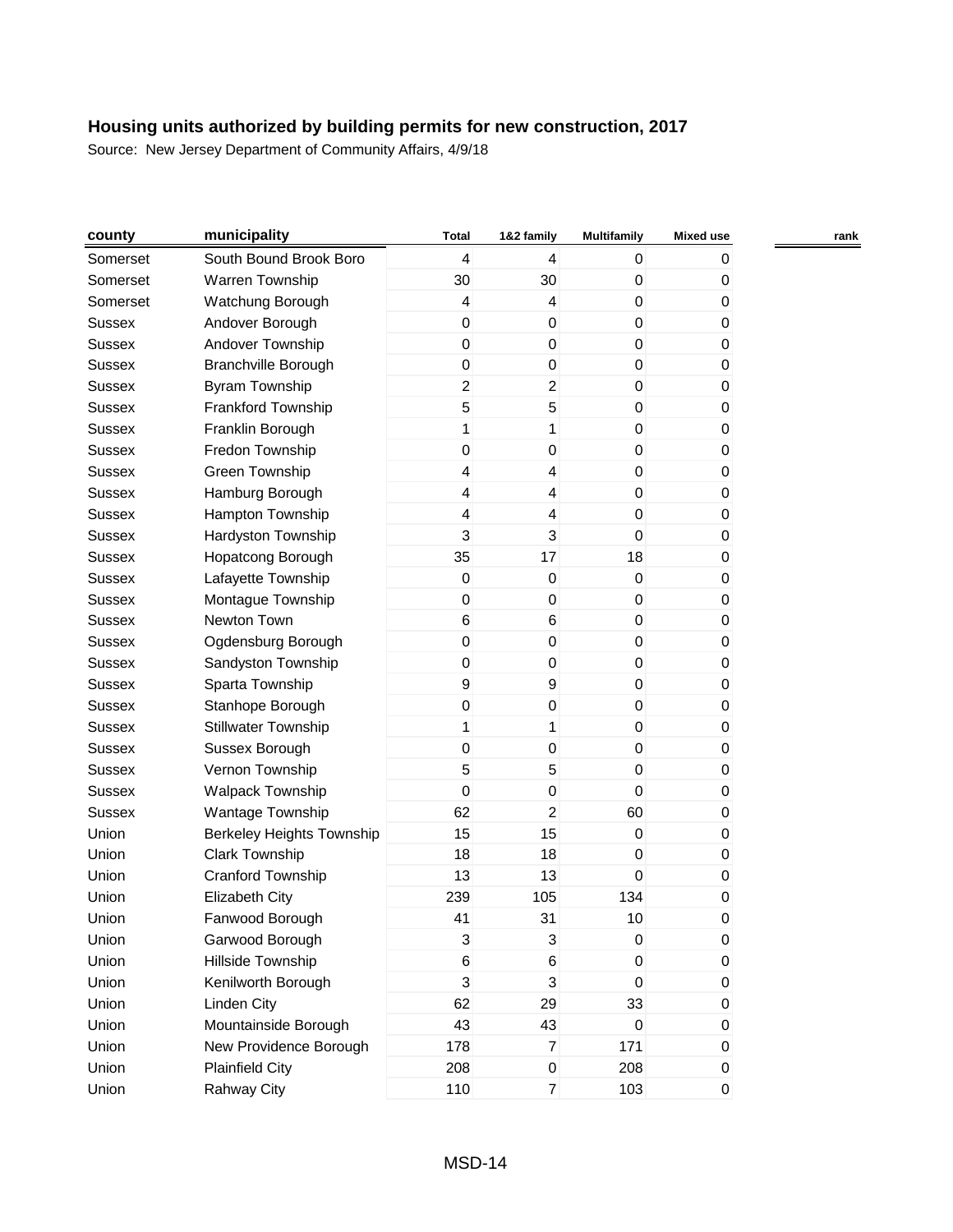| county        | municipality                     | <b>Total</b>              | 1&2 family     | <b>Multifamily</b> | Mixed use | rank |
|---------------|----------------------------------|---------------------------|----------------|--------------------|-----------|------|
| Somerset      | South Bound Brook Boro           | $\overline{4}$            | 4              | 0                  | 0         |      |
| Somerset      | Warren Township                  | 30                        | 30             | $\mathbf 0$        | 0         |      |
| Somerset      | Watchung Borough                 | 4                         | 4              | $\boldsymbol{0}$   | 0         |      |
| <b>Sussex</b> | Andover Borough                  | 0                         | $\mathbf 0$    | 0                  | 0         |      |
| <b>Sussex</b> | Andover Township                 | $\boldsymbol{0}$          | $\pmb{0}$      | $\mathbf 0$        | 0         |      |
| <b>Sussex</b> | <b>Branchville Borough</b>       | $\boldsymbol{0}$          | $\pmb{0}$      | $\boldsymbol{0}$   | 0         |      |
| <b>Sussex</b> | <b>Byram Township</b>            | $\overline{c}$            | $\overline{c}$ | 0                  | 0         |      |
| <b>Sussex</b> | Frankford Township               | 5                         | 5              | $\mathbf 0$        | 0         |      |
| <b>Sussex</b> | Franklin Borough                 | 1                         | 1              | $\boldsymbol{0}$   | 0         |      |
| <b>Sussex</b> | Fredon Township                  | 0                         | $\,0\,$        | $\boldsymbol{0}$   | 0         |      |
| <b>Sussex</b> | Green Township                   | $\overline{\mathbf{4}}$   | 4              | 0                  | 0         |      |
| <b>Sussex</b> | Hamburg Borough                  | 4                         | 4              | 0                  | 0         |      |
| <b>Sussex</b> | Hampton Township                 | 4                         | 4              | $\boldsymbol{0}$   | 0         |      |
| <b>Sussex</b> | Hardyston Township               | 3                         | 3              | $\boldsymbol{0}$   | 0         |      |
| <b>Sussex</b> | Hopatcong Borough                | 35                        | 17             | 18                 | 0         |      |
| <b>Sussex</b> | Lafayette Township               | $\boldsymbol{0}$          | $\pmb{0}$      | $\pmb{0}$          | 0         |      |
| <b>Sussex</b> | Montague Township                | $\pmb{0}$                 | $\pmb{0}$      | $\pmb{0}$          | 0         |      |
| <b>Sussex</b> | Newton Town                      | $\,6$                     | 6              | 0                  | 0         |      |
| <b>Sussex</b> | Ogdensburg Borough               | $\boldsymbol{0}$          | $\pmb{0}$      | $\pmb{0}$          | 0         |      |
| <b>Sussex</b> | Sandyston Township               | $\boldsymbol{0}$          | $\pmb{0}$      | $\boldsymbol{0}$   | 0         |      |
| <b>Sussex</b> | Sparta Township                  | $\boldsymbol{9}$          | 9              | 0                  | 0         |      |
| <b>Sussex</b> | Stanhope Borough                 | $\boldsymbol{0}$          | $\mathbf 0$    | 0                  | 0         |      |
| Sussex        | <b>Stillwater Township</b>       | 1                         | 1              | $\boldsymbol{0}$   | 0         |      |
| <b>Sussex</b> | Sussex Borough                   | $\boldsymbol{0}$          | $\pmb{0}$      | $\boldsymbol{0}$   | 0         |      |
| Sussex        | Vernon Township                  | 5                         | 5              | 0                  | 0         |      |
| <b>Sussex</b> | Walpack Township                 | $\mathbf 0$               | $\pmb{0}$      | $\mathbf 0$        | 0         |      |
| <b>Sussex</b> | Wantage Township                 | 62                        | 2              | 60                 | 0         |      |
| Union         | <b>Berkeley Heights Township</b> | 15                        | 15             | 0                  | 0         |      |
| Union         | Clark Township                   | 18                        | 18             | $\mathbf 0$        | 0         |      |
| Union         | Cranford Township                | 13                        | 13             | $\mathbf 0$        | 0         |      |
| Union         | Elizabeth City                   | 239                       | 105            | 134                | 0         |      |
| Union         | Fanwood Borough                  | 41                        | 31             | 10                 | 0         |      |
| Union         | Garwood Borough                  | $\ensuremath{\mathsf{3}}$ | $\sqrt{3}$     | $\pmb{0}$          | 0         |      |
| Union         | Hillside Township                | $\,6$                     | 6              | $\boldsymbol{0}$   | 0         |      |
| Union         | Kenilworth Borough               | 3                         | 3              | $\boldsymbol{0}$   | 0         |      |
| Union         | <b>Linden City</b>               | 62                        | 29             | 33                 | 0         |      |
| Union         | Mountainside Borough             | 43                        | 43             | $\pmb{0}$          | 0         |      |
| Union         | New Providence Borough           | 178                       | $\overline{7}$ | 171                | 0         |      |
| Union         | <b>Plainfield City</b>           | 208                       | $\pmb{0}$      | 208                | 0         |      |
| Union         | Rahway City                      | 110                       | $\overline{7}$ | 103                | 0         |      |